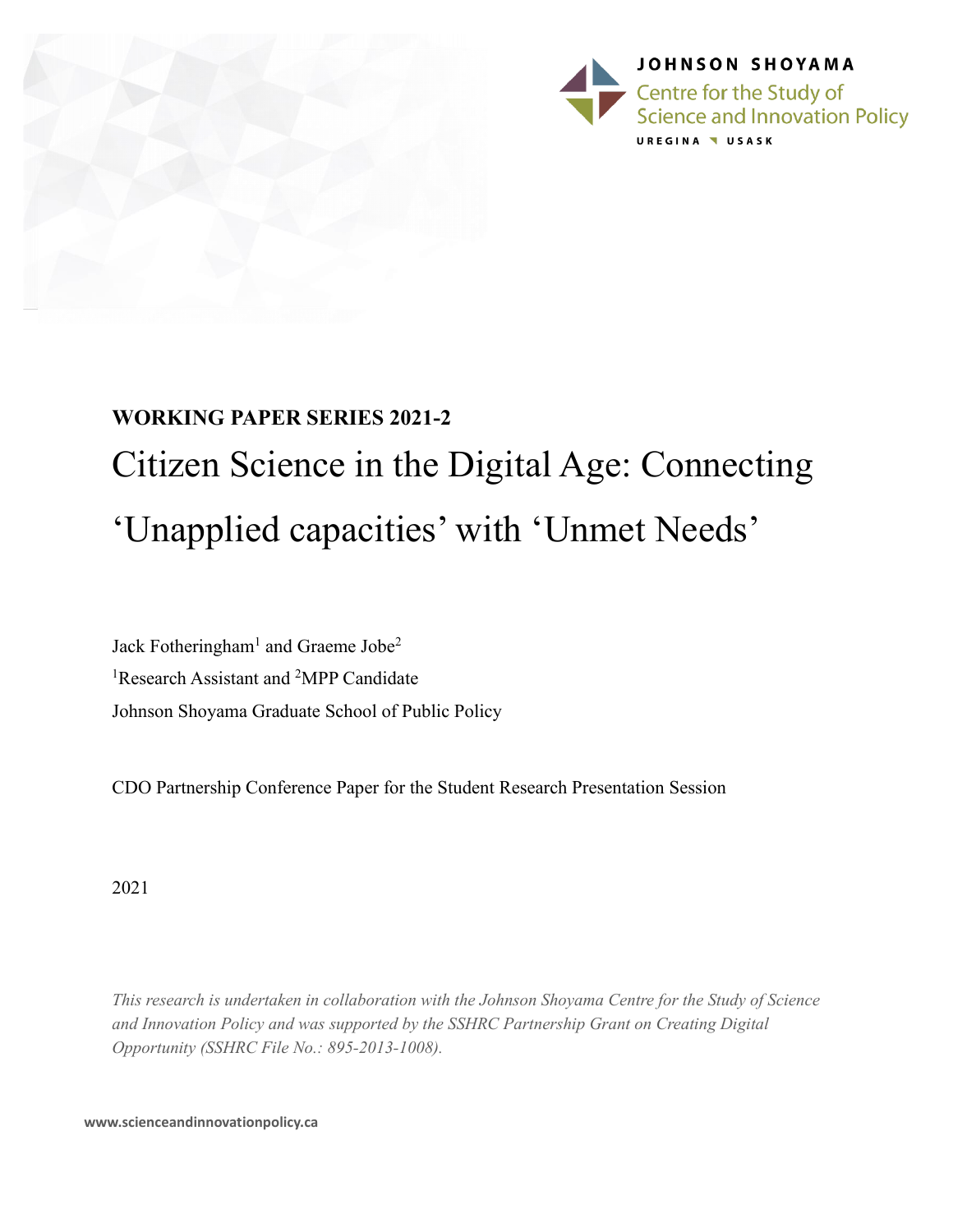



# **WORKING PAPER SERIES 2021-2** Citizen Science in the Digital Age: Connecting 'Unapplied capacities' with 'Unmet Needs'

Jack Fotheringham<sup>1</sup> and Graeme Jobe<sup>2</sup> <sup>1</sup>Research Assistant and <sup>2</sup>MPP Candidate Johnson Shoyama Graduate School of Public Policy

CDO Partnership Conference Paper for the Student Research Presentation Session

2021

*This research is undertaken in collaboration with the Johnson Shoyama Centre for the Study of Science and Innovation Policy and was supported by the SSHRC Partnership Grant on Creating Digital Opportunity (SSHRC File No.: 895-2013-1008).*

**www.scienceandinnovationpolicy.ca**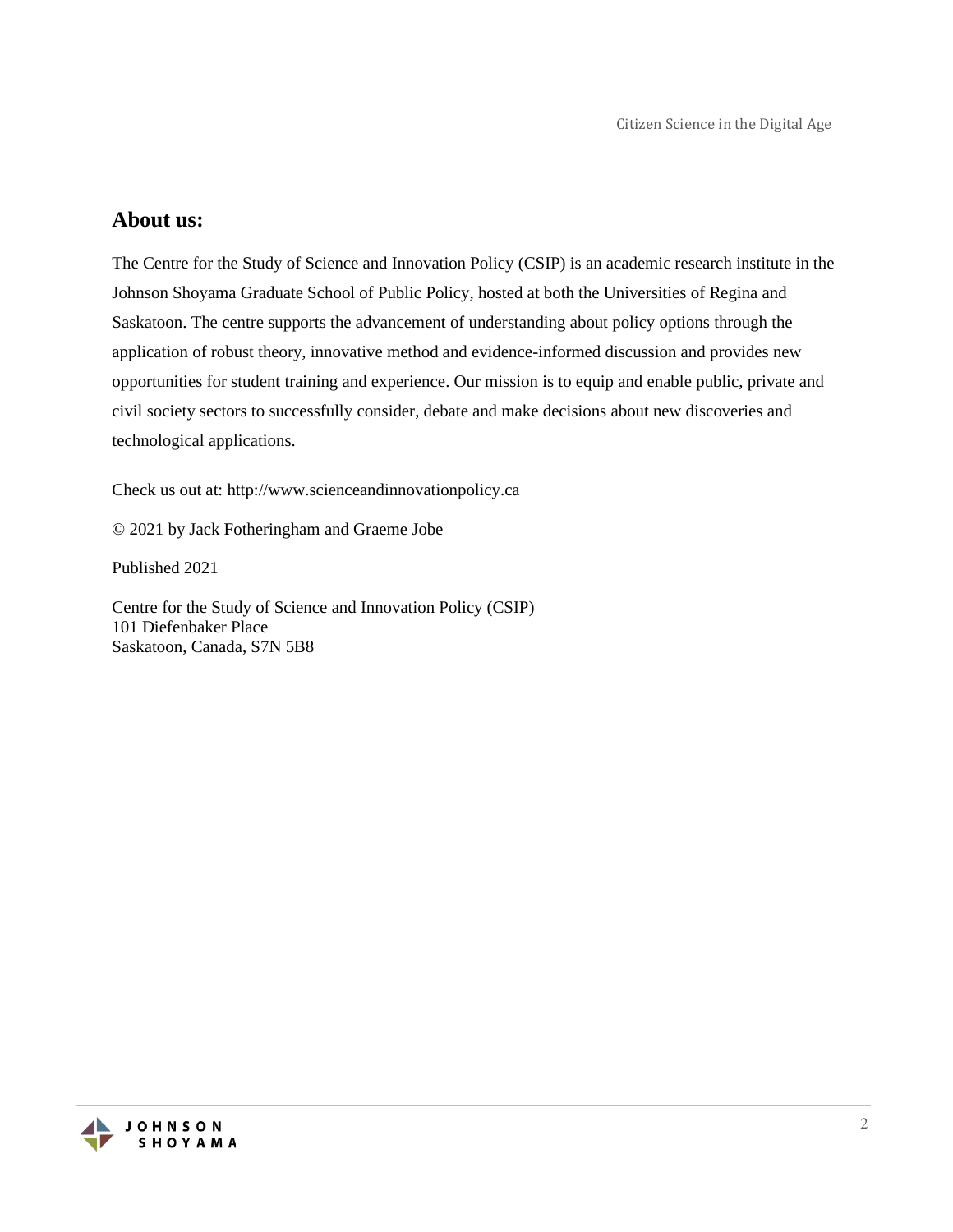# **About us:**

The Centre for the Study of Science and Innovation Policy (CSIP) is an academic research institute in the Johnson Shoyama Graduate School of Public Policy, hosted at both the Universities of Regina and Saskatoon. The centre supports the advancement of understanding about policy options through the application of robust theory, innovative method and evidence-informed discussion and provides new opportunities for student training and experience. Our mission is to equip and enable public, private and civil society sectors to successfully consider, debate and make decisions about new discoveries and technological applications.

Check us out at: http://www.scienceandinnovationpolicy.ca

© 2021 by Jack Fotheringham and Graeme Jobe

Published 2021

Centre for the Study of Science and Innovation Policy (CSIP) 101 Diefenbaker Place Saskatoon, Canada, S7N 5B8

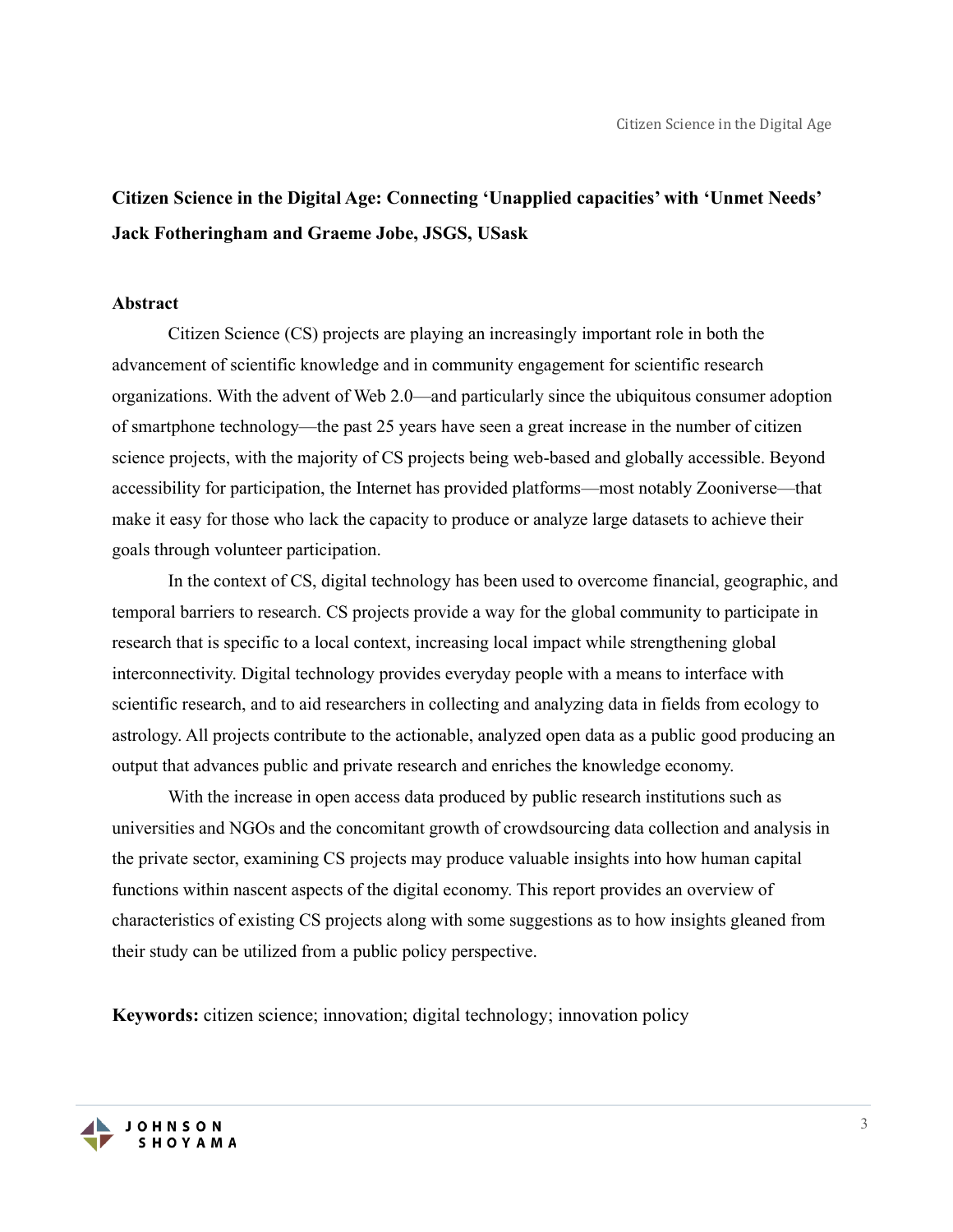# **Citizen Science in the Digital Age: Connecting 'Unapplied capacities' with 'Unmet Needs' Jack Fotheringham and Graeme Jobe, JSGS, USask**

# **Abstract**

Citizen Science (CS) projects are playing an increasingly important role in both the advancement of scientific knowledge and in community engagement for scientific research organizations. With the advent of Web 2.0—and particularly since the ubiquitous consumer adoption of smartphone technology—the past 25 years have seen a great increase in the number of citizen science projects, with the majority of CS projects being web-based and globally accessible. Beyond accessibility for participation, the Internet has provided platforms—most notably Zooniverse—that make it easy for those who lack the capacity to produce or analyze large datasets to achieve their goals through volunteer participation.

In the context of CS, digital technology has been used to overcome financial, geographic, and temporal barriers to research. CS projects provide a way for the global community to participate in research that is specific to a local context, increasing local impact while strengthening global interconnectivity. Digital technology provides everyday people with a means to interface with scientific research, and to aid researchers in collecting and analyzing data in fields from ecology to astrology. All projects contribute to the actionable, analyzed open data as a public good producing an output that advances public and private research and enriches the knowledge economy.

With the increase in open access data produced by public research institutions such as universities and NGOs and the concomitant growth of crowdsourcing data collection and analysis in the private sector, examining CS projects may produce valuable insights into how human capital functions within nascent aspects of the digital economy. This report provides an overview of characteristics of existing CS projects along with some suggestions as to how insights gleaned from their study can be utilized from a public policy perspective.

**Keywords:** citizen science; innovation; digital technology; innovation policy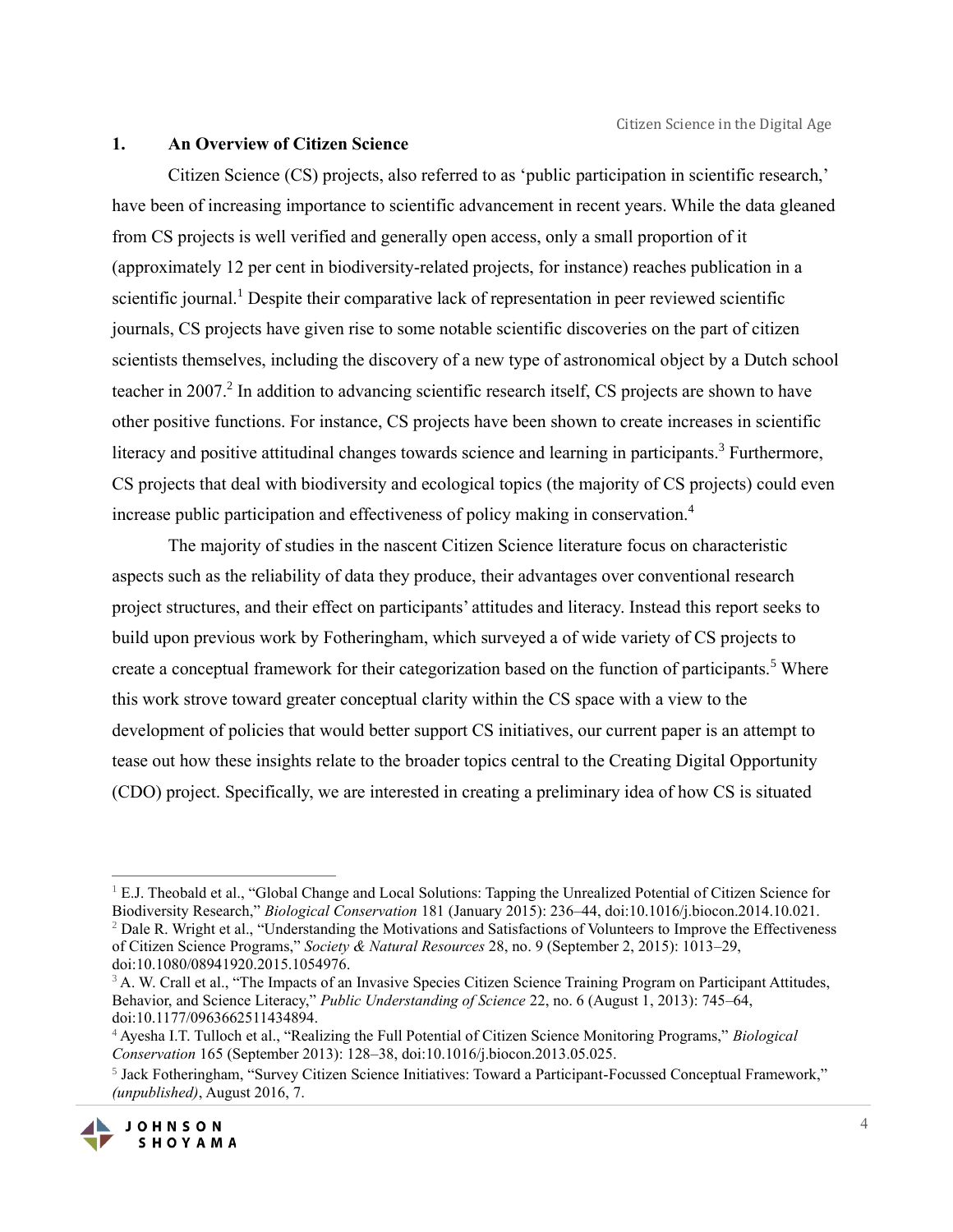# **1. An Overview of Citizen Science**

Citizen Science (CS) projects, also referred to as 'public participation in scientific research,' have been of increasing importance to scientific advancement in recent years. While the data gleaned from CS projects is well verified and generally open access, only a small proportion of it (approximately 12 per cent in biodiversity-related projects, for instance) reaches publication in a scientific journal.<sup>1</sup> Despite their comparative lack of representation in peer reviewed scientific journals, CS projects have given rise to some notable scientific discoveries on the part of citizen scientists themselves, including the discovery of a new type of astronomical object by a Dutch school teacher in 2007.<sup>2</sup> In addition to advancing scientific research itself, CS projects are shown to have other positive functions. For instance, CS projects have been shown to create increases in scientific literacy and positive attitudinal changes towards science and learning in participants.<sup>3</sup> Furthermore, CS projects that deal with biodiversity and ecological topics (the majority of CS projects) could even increase public participation and effectiveness of policy making in conservation.<sup>4</sup>

The majority of studies in the nascent Citizen Science literature focus on characteristic aspects such as the reliability of data they produce, their advantages over conventional research project structures, and their effect on participants' attitudes and literacy. Instead this report seeks to build upon previous work by Fotheringham, which surveyed a of wide variety of CS projects to create a conceptual framework for their categorization based on the function of participants.<sup>5</sup> Where this work strove toward greater conceptual clarity within the CS space with a view to the development of policies that would better support CS initiatives, our current paper is an attempt to tease out how these insights relate to the broader topics central to the Creating Digital Opportunity (CDO) project. Specifically, we are interested in creating a preliminary idea of how CS is situated

<sup>5</sup> Jack Fotheringham, "Survey Citizen Science Initiatives: Toward a Participant-Focussed Conceptual Framework," *(unpublished)*, August 2016, 7.



 $<sup>1</sup>$  E.J. Theobald et al., "Global Change and Local Solutions: Tapping the Unrealized Potential of Citizen Science for</sup> Biodiversity Research," *Biological Conservation* 181 (January 2015): 236–44, doi:10.1016/j.biocon.2014.10.021. <sup>2</sup> Dale R. Wright et al., "Understanding the Motivations and Satisfactions of Volunteers to Improve the Effectiveness of Citizen Science Programs," *Society & Natural Resources* 28, no. 9 (September 2, 2015): 1013–29,

doi:10.1080/08941920.2015.1054976.

<sup>&</sup>lt;sup>3</sup> A. W. Crall et al., "The Impacts of an Invasive Species Citizen Science Training Program on Participant Attitudes, Behavior, and Science Literacy," *Public Understanding of Science* 22, no. 6 (August 1, 2013): 745–64, doi:10.1177/0963662511434894.

<sup>4</sup> Ayesha I.T. Tulloch et al., "Realizing the Full Potential of Citizen Science Monitoring Programs," *Biological Conservation* 165 (September 2013): 128–38, doi:10.1016/j.biocon.2013.05.025.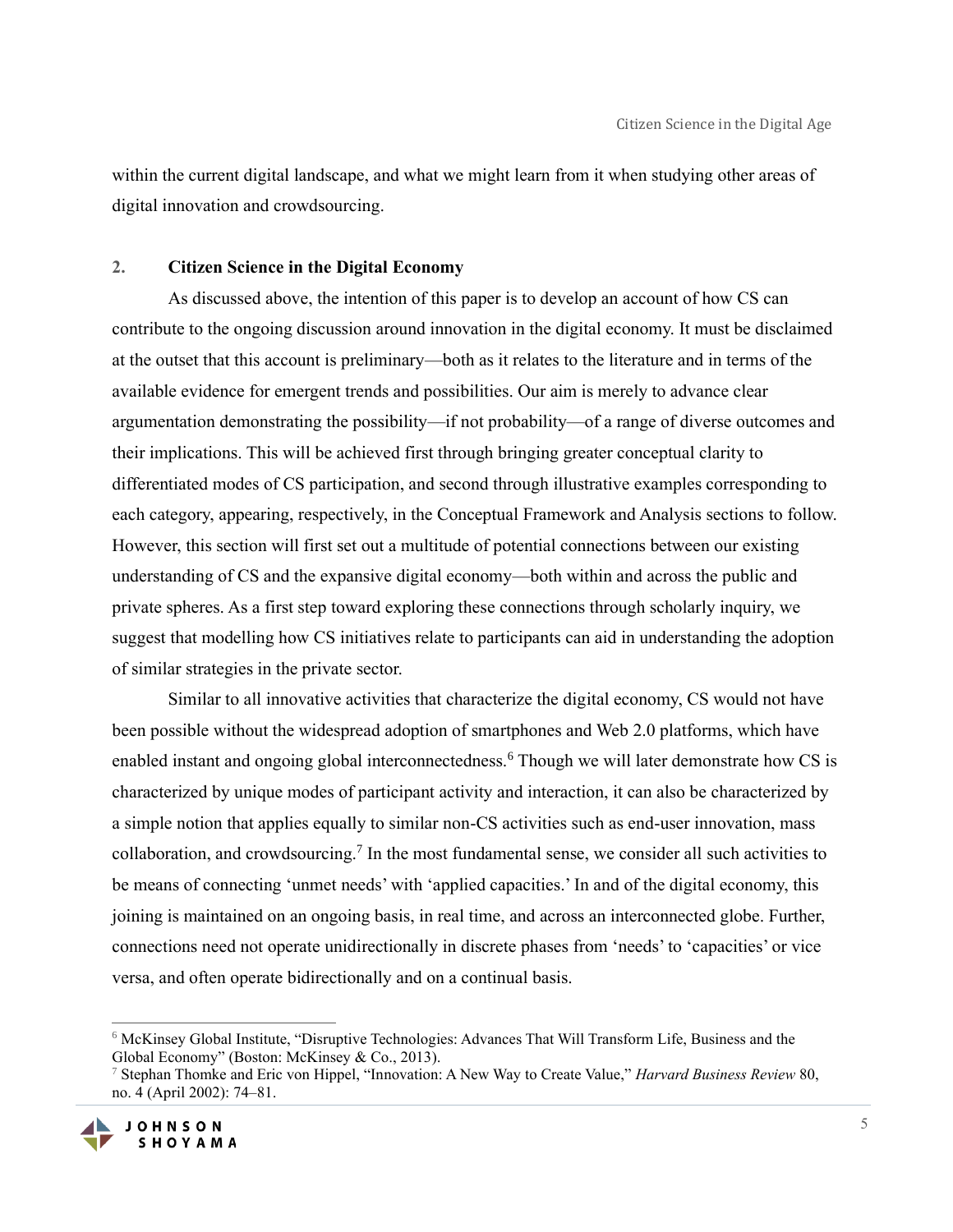within the current digital landscape, and what we might learn from it when studying other areas of digital innovation and crowdsourcing.

# **2. Citizen Science in the Digital Economy**

As discussed above, the intention of this paper is to develop an account of how CS can contribute to the ongoing discussion around innovation in the digital economy. It must be disclaimed at the outset that this account is preliminary—both as it relates to the literature and in terms of the available evidence for emergent trends and possibilities. Our aim is merely to advance clear argumentation demonstrating the possibility—if not probability—of a range of diverse outcomes and their implications. This will be achieved first through bringing greater conceptual clarity to differentiated modes of CS participation, and second through illustrative examples corresponding to each category, appearing, respectively, in the Conceptual Framework and Analysis sections to follow. However, this section will first set out a multitude of potential connections between our existing understanding of CS and the expansive digital economy—both within and across the public and private spheres. As a first step toward exploring these connections through scholarly inquiry, we suggest that modelling how CS initiatives relate to participants can aid in understanding the adoption of similar strategies in the private sector.

Similar to all innovative activities that characterize the digital economy, CS would not have been possible without the widespread adoption of smartphones and Web 2.0 platforms, which have enabled instant and ongoing global interconnectedness.<sup>6</sup> Though we will later demonstrate how CS is characterized by unique modes of participant activity and interaction, it can also be characterized by a simple notion that applies equally to similar non-CS activities such as end-user innovation, mass collaboration, and crowdsourcing.<sup>7</sup> In the most fundamental sense, we consider all such activities to be means of connecting 'unmet needs' with 'applied capacities.' In and of the digital economy, this joining is maintained on an ongoing basis, in real time, and across an interconnected globe. Further, connections need not operate unidirectionally in discrete phases from 'needs' to 'capacities' or vice versa, and often operate bidirectionally and on a continual basis.

<sup>7</sup> Stephan Thomke and Eric von Hippel, "Innovation: A New Way to Create Value," *Harvard Business Review* 80, no. 4 (April 2002): 74–81.



<sup>6</sup> McKinsey Global Institute, "Disruptive Technologies: Advances That Will Transform Life, Business and the Global Economy" (Boston: McKinsey & Co., 2013).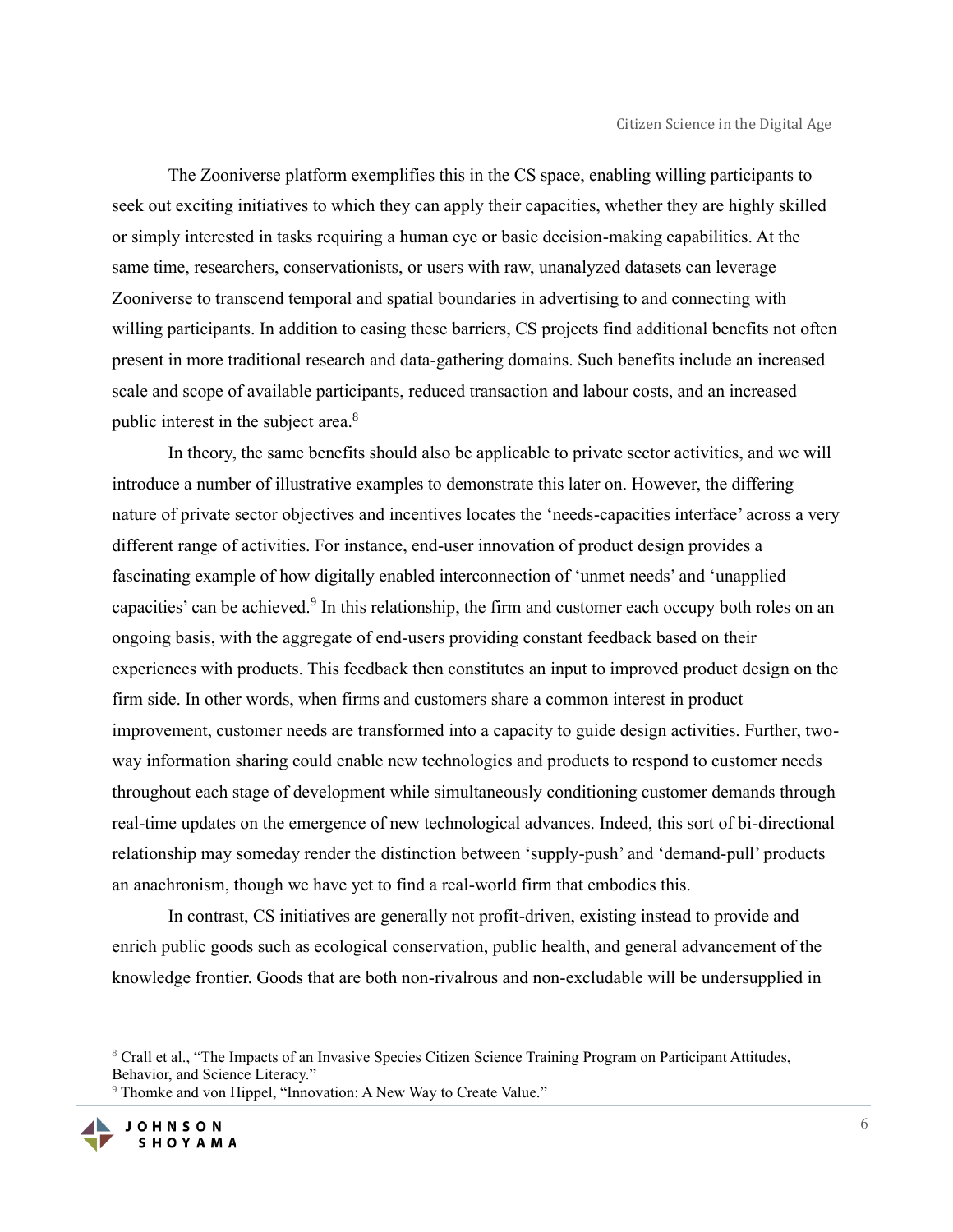The Zooniverse platform exemplifies this in the CS space, enabling willing participants to seek out exciting initiatives to which they can apply their capacities, whether they are highly skilled or simply interested in tasks requiring a human eye or basic decision-making capabilities. At the same time, researchers, conservationists, or users with raw, unanalyzed datasets can leverage Zooniverse to transcend temporal and spatial boundaries in advertising to and connecting with willing participants. In addition to easing these barriers, CS projects find additional benefits not often present in more traditional research and data-gathering domains. Such benefits include an increased scale and scope of available participants, reduced transaction and labour costs, and an increased public interest in the subject area.<sup>8</sup>

In theory, the same benefits should also be applicable to private sector activities, and we will introduce a number of illustrative examples to demonstrate this later on. However, the differing nature of private sector objectives and incentives locates the 'needs-capacities interface' across a very different range of activities. For instance, end-user innovation of product design provides a fascinating example of how digitally enabled interconnection of 'unmet needs' and 'unapplied capacities' can be achieved.<sup>9</sup> In this relationship, the firm and customer each occupy both roles on an ongoing basis, with the aggregate of end-users providing constant feedback based on their experiences with products. This feedback then constitutes an input to improved product design on the firm side. In other words, when firms and customers share a common interest in product improvement, customer needs are transformed into a capacity to guide design activities. Further, twoway information sharing could enable new technologies and products to respond to customer needs throughout each stage of development while simultaneously conditioning customer demands through real-time updates on the emergence of new technological advances. Indeed, this sort of bi-directional relationship may someday render the distinction between 'supply-push' and 'demand-pull' products an anachronism, though we have yet to find a real-world firm that embodies this.

In contrast, CS initiatives are generally not profit-driven, existing instead to provide and enrich public goods such as ecological conservation, public health, and general advancement of the knowledge frontier. Goods that are both non-rivalrous and non-excludable will be undersupplied in

<sup>&</sup>lt;sup>9</sup> Thomke and von Hippel, "Innovation: A New Way to Create Value."



<sup>&</sup>lt;sup>8</sup> Crall et al., "The Impacts of an Invasive Species Citizen Science Training Program on Participant Attitudes, Behavior, and Science Literacy."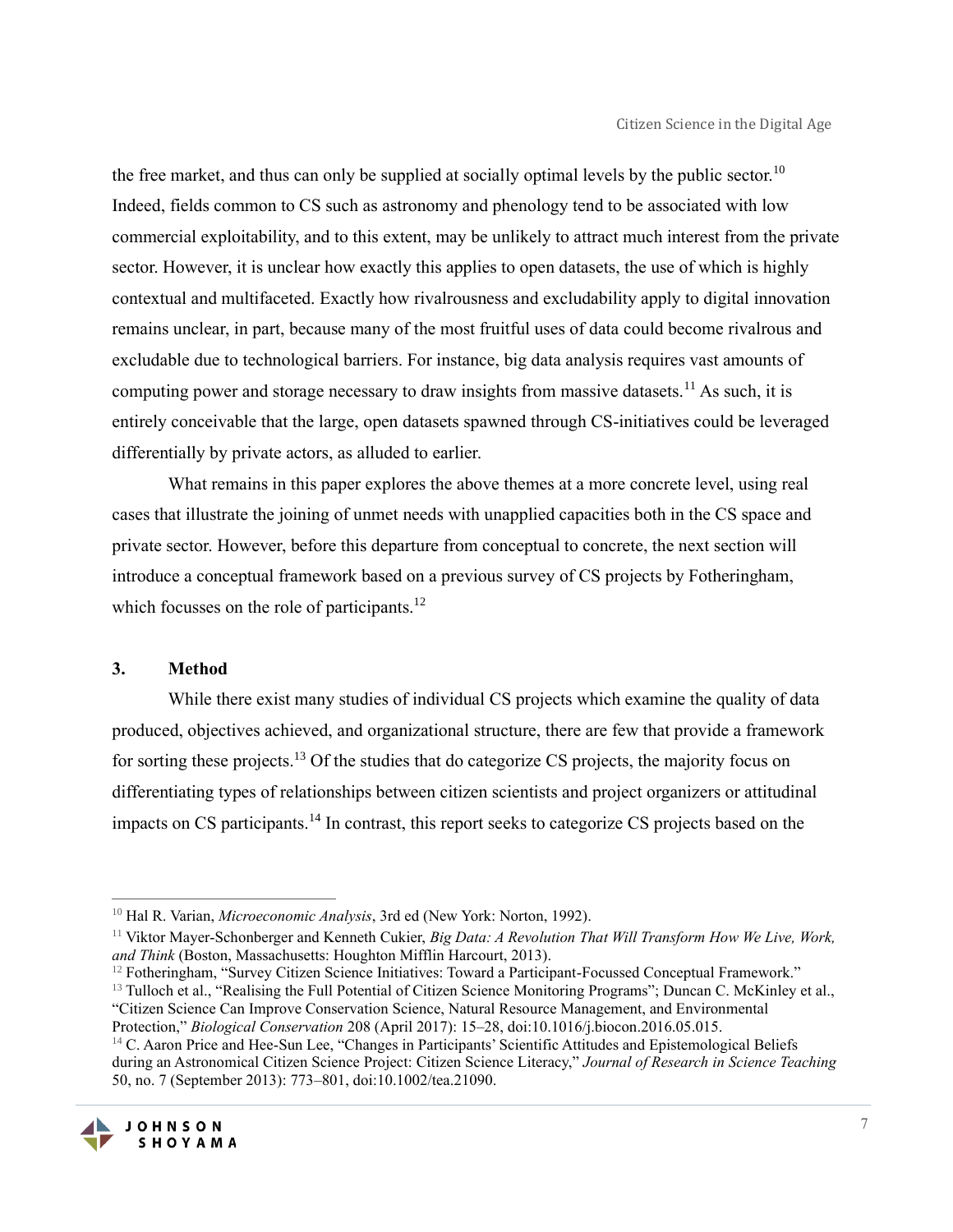the free market, and thus can only be supplied at socially optimal levels by the public sector.<sup>10</sup> Indeed, fields common to CS such as astronomy and phenology tend to be associated with low commercial exploitability, and to this extent, may be unlikely to attract much interest from the private sector. However, it is unclear how exactly this applies to open datasets, the use of which is highly contextual and multifaceted. Exactly how rivalrousness and excludability apply to digital innovation remains unclear, in part, because many of the most fruitful uses of data could become rivalrous and excludable due to technological barriers. For instance, big data analysis requires vast amounts of computing power and storage necessary to draw insights from massive datasets.<sup>11</sup> As such, it is entirely conceivable that the large, open datasets spawned through CS-initiatives could be leveraged differentially by private actors, as alluded to earlier.

What remains in this paper explores the above themes at a more concrete level, using real cases that illustrate the joining of unmet needs with unapplied capacities both in the CS space and private sector. However, before this departure from conceptual to concrete, the next section will introduce a conceptual framework based on a previous survey of CS projects by Fotheringham, which focusses on the role of participants.<sup>12</sup>

## **3. Method**

While there exist many studies of individual CS projects which examine the quality of data produced, objectives achieved, and organizational structure, there are few that provide a framework for sorting these projects.<sup>13</sup> Of the studies that do categorize CS projects, the majority focus on differentiating types of relationships between citizen scientists and project organizers or attitudinal impacts on CS participants.<sup>14</sup> In contrast, this report seeks to categorize CS projects based on the

<sup>&</sup>lt;sup>14</sup> C. Aaron Price and Hee-Sun Lee, "Changes in Participants' Scientific Attitudes and Epistemological Beliefs during an Astronomical Citizen Science Project: Citizen Science Literacy," *Journal of Research in Science Teaching* 50, no. 7 (September 2013): 773–801, doi:10.1002/tea.21090.



<sup>10</sup> Hal R. Varian, *Microeconomic Analysis*, 3rd ed (New York: Norton, 1992).

<sup>11</sup> Viktor Mayer-Schonberger and Kenneth Cukier, *Big Data: A Revolution That Will Transform How We Live, Work, and Think* (Boston, Massachusetts: Houghton Mifflin Harcourt, 2013).

 $12$  Fotheringham, "Survey Citizen Science Initiatives: Toward a Participant-Focussed Conceptual Framework."

<sup>&</sup>lt;sup>13</sup> Tulloch et al., "Realising the Full Potential of Citizen Science Monitoring Programs"; Duncan C. McKinley et al., "Citizen Science Can Improve Conservation Science, Natural Resource Management, and Environmental Protection," *Biological Conservation* 208 (April 2017): 15–28, doi:10.1016/j.biocon.2016.05.015.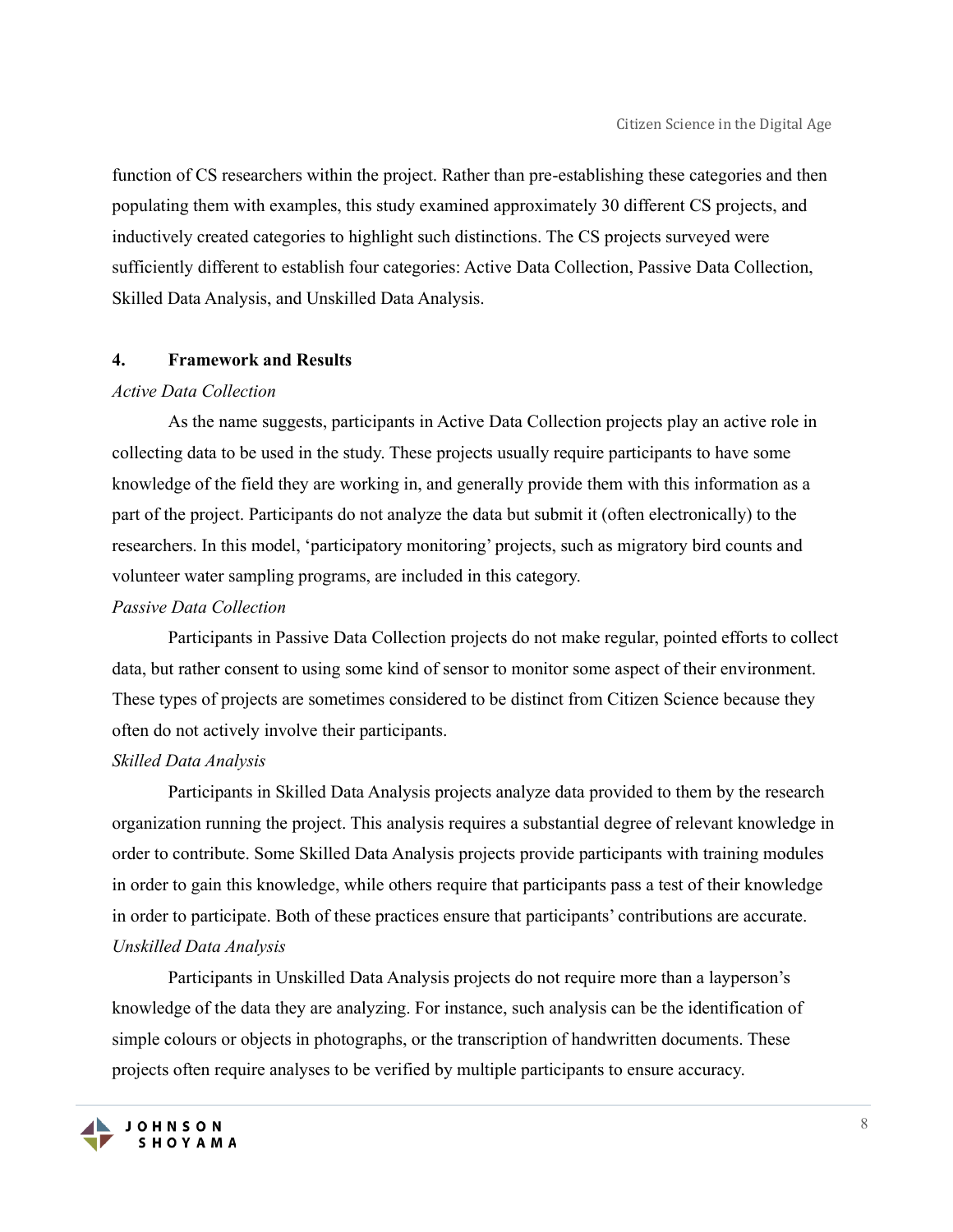function of CS researchers within the project. Rather than pre-establishing these categories and then populating them with examples, this study examined approximately 30 different CS projects, and inductively created categories to highlight such distinctions. The CS projects surveyed were sufficiently different to establish four categories: Active Data Collection, Passive Data Collection, Skilled Data Analysis, and Unskilled Data Analysis.

# **4. Framework and Results**

#### *Active Data Collection*

As the name suggests, participants in Active Data Collection projects play an active role in collecting data to be used in the study. These projects usually require participants to have some knowledge of the field they are working in, and generally provide them with this information as a part of the project. Participants do not analyze the data but submit it (often electronically) to the researchers. In this model, 'participatory monitoring' projects, such as migratory bird counts and volunteer water sampling programs, are included in this category.

#### *Passive Data Collection*

Participants in Passive Data Collection projects do not make regular, pointed efforts to collect data, but rather consent to using some kind of sensor to monitor some aspect of their environment. These types of projects are sometimes considered to be distinct from Citizen Science because they often do not actively involve their participants.

#### *Skilled Data Analysis*

Participants in Skilled Data Analysis projects analyze data provided to them by the research organization running the project. This analysis requires a substantial degree of relevant knowledge in order to contribute. Some Skilled Data Analysis projects provide participants with training modules in order to gain this knowledge, while others require that participants pass a test of their knowledge in order to participate. Both of these practices ensure that participants' contributions are accurate. *Unskilled Data Analysis*

Participants in Unskilled Data Analysis projects do not require more than a layperson's knowledge of the data they are analyzing. For instance, such analysis can be the identification of simple colours or objects in photographs, or the transcription of handwritten documents. These projects often require analyses to be verified by multiple participants to ensure accuracy.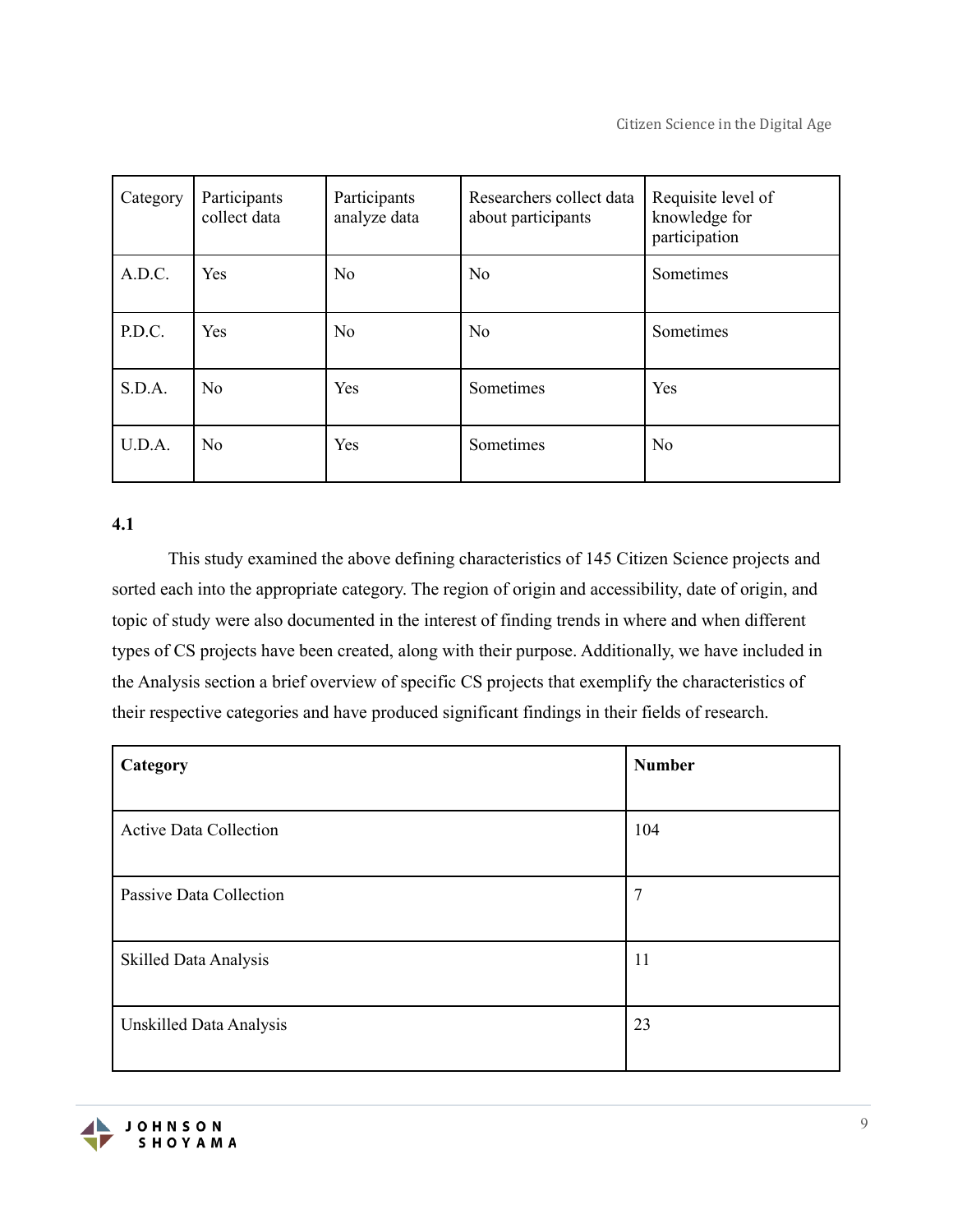| Category | Participants<br>collect data | Participants<br>analyze data | Researchers collect data<br>about participants | Requisite level of<br>knowledge for<br>participation |
|----------|------------------------------|------------------------------|------------------------------------------------|------------------------------------------------------|
| A.D.C.   | Yes                          | No                           | N <sub>o</sub>                                 | Sometimes                                            |
| P.D.C.   | Yes                          | N <sub>o</sub>               | No                                             | Sometimes                                            |
| S.D.A.   | N <sub>0</sub>               | Yes                          | Sometimes                                      | Yes                                                  |
| U.D.A.   | N <sub>o</sub>               | Yes                          | Sometimes                                      | N <sub>o</sub>                                       |

# **4.1**

This study examined the above defining characteristics of 145 Citizen Science projects and sorted each into the appropriate category. The region of origin and accessibility, date of origin, and topic of study were also documented in the interest of finding trends in where and when different types of CS projects have been created, along with their purpose. Additionally, we have included in the Analysis section a brief overview of specific CS projects that exemplify the characteristics of their respective categories and have produced significant findings in their fields of research.

| Category                      | <b>Number</b> |
|-------------------------------|---------------|
| <b>Active Data Collection</b> | 104           |
| Passive Data Collection       | 7             |
| Skilled Data Analysis         | 11            |
| Unskilled Data Analysis       | 23            |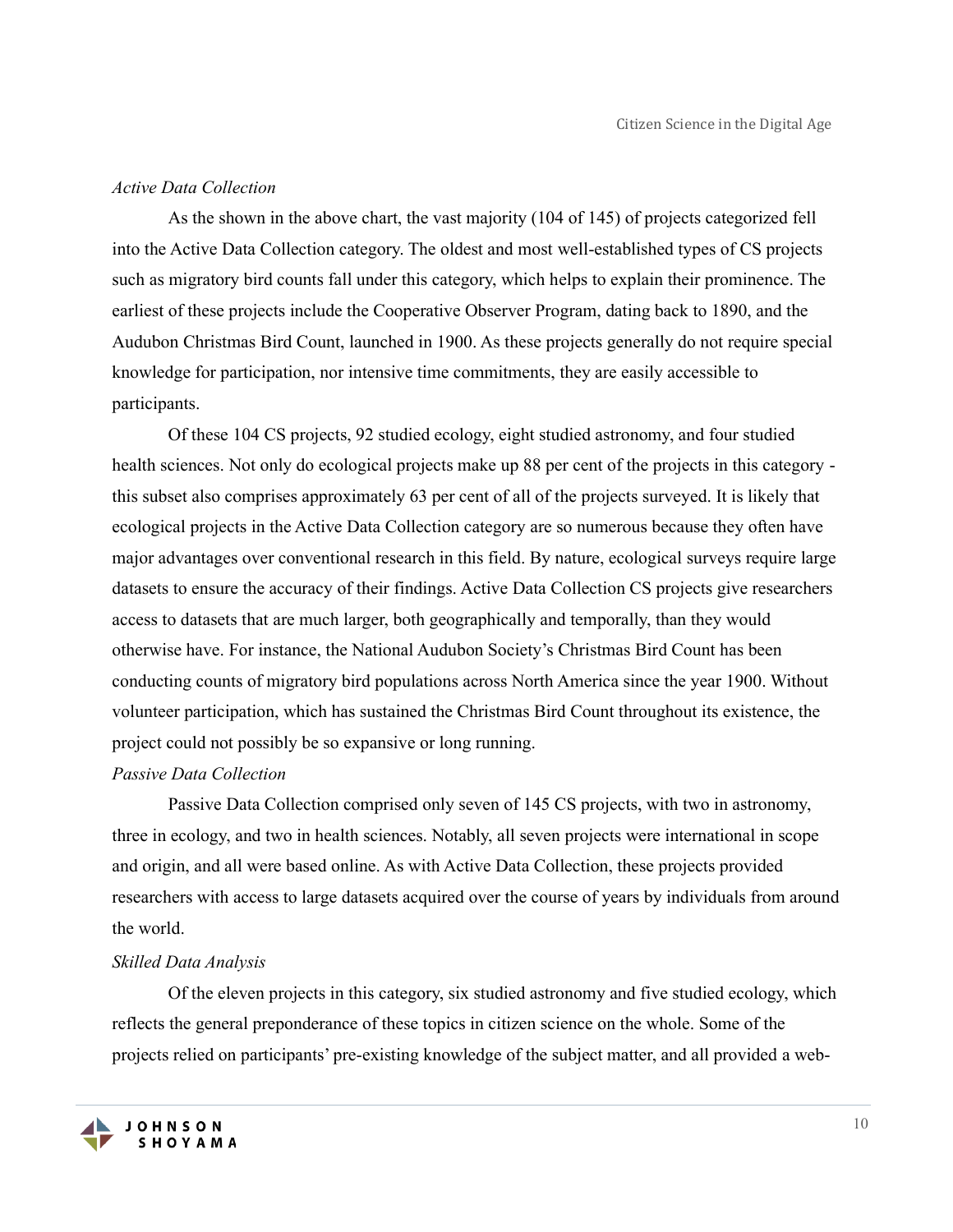# *Active Data Collection*

As the shown in the above chart, the vast majority (104 of 145) of projects categorized fell into the Active Data Collection category. The oldest and most well-established types of CS projects such as migratory bird counts fall under this category, which helps to explain their prominence. The earliest of these projects include the Cooperative Observer Program, dating back to 1890, and the Audubon Christmas Bird Count, launched in 1900. As these projects generally do not require special knowledge for participation, nor intensive time commitments, they are easily accessible to participants.

Of these 104 CS projects, 92 studied ecology, eight studied astronomy, and four studied health sciences. Not only do ecological projects make up 88 per cent of the projects in this category this subset also comprises approximately 63 per cent of all of the projects surveyed. It is likely that ecological projects in the Active Data Collection category are so numerous because they often have major advantages over conventional research in this field. By nature, ecological surveys require large datasets to ensure the accuracy of their findings. Active Data Collection CS projects give researchers access to datasets that are much larger, both geographically and temporally, than they would otherwise have. For instance, the National Audubon Society's Christmas Bird Count has been conducting counts of migratory bird populations across North America since the year 1900. Without volunteer participation, which has sustained the Christmas Bird Count throughout its existence, the project could not possibly be so expansive or long running.

# *Passive Data Collection*

Passive Data Collection comprised only seven of 145 CS projects, with two in astronomy, three in ecology, and two in health sciences. Notably, all seven projects were international in scope and origin, and all were based online. As with Active Data Collection, these projects provided researchers with access to large datasets acquired over the course of years by individuals from around the world.

#### *Skilled Data Analysis*

Of the eleven projects in this category, six studied astronomy and five studied ecology, which reflects the general preponderance of these topics in citizen science on the whole. Some of the projects relied on participants' pre-existing knowledge of the subject matter, and all provided a web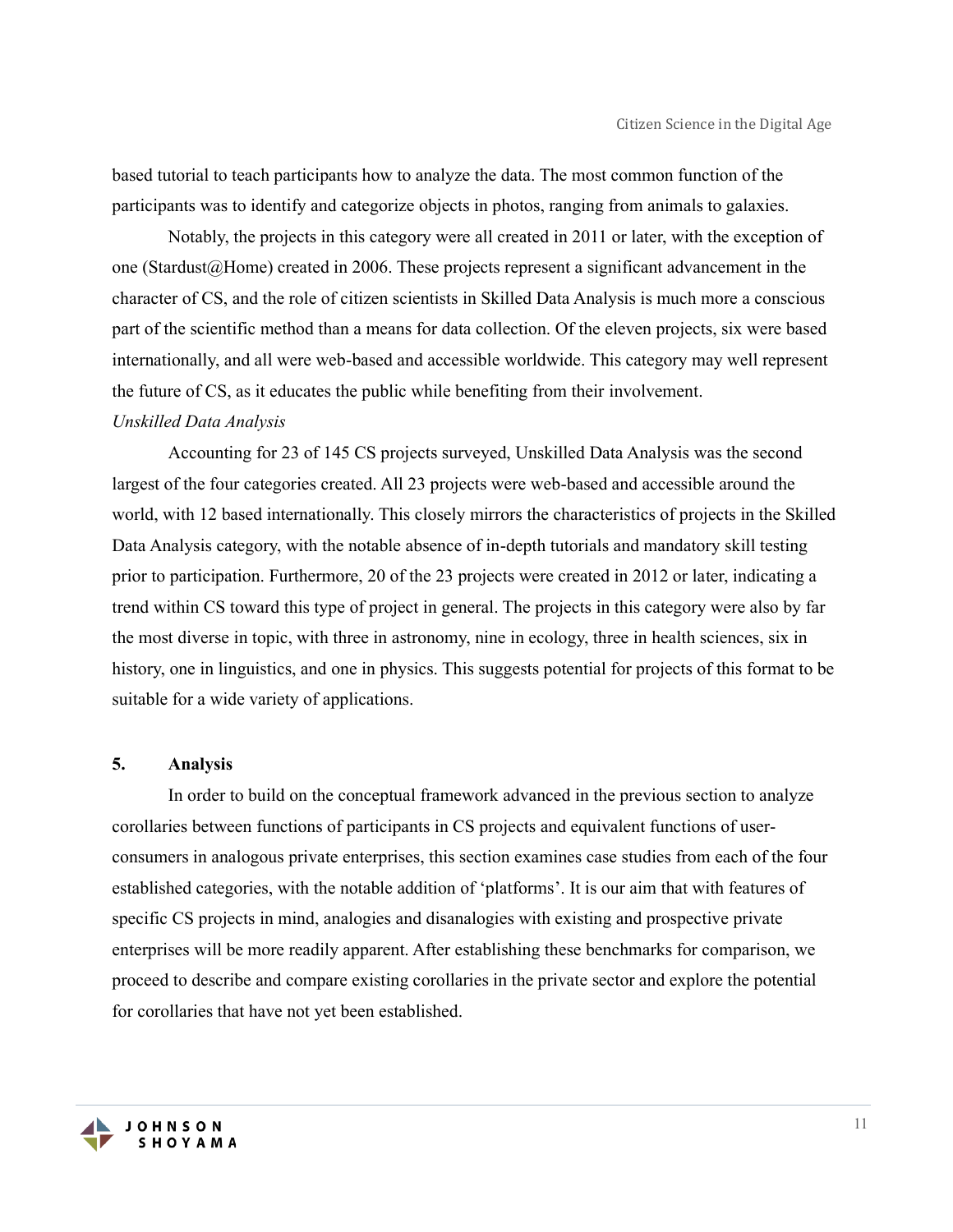based tutorial to teach participants how to analyze the data. The most common function of the participants was to identify and categorize objects in photos, ranging from animals to galaxies.

Notably, the projects in this category were all created in 2011 or later, with the exception of one (Stardust@Home) created in 2006. These projects represent a significant advancement in the character of CS, and the role of citizen scientists in Skilled Data Analysis is much more a conscious part of the scientific method than a means for data collection. Of the eleven projects, six were based internationally, and all were web-based and accessible worldwide. This category may well represent the future of CS, as it educates the public while benefiting from their involvement.

#### *Unskilled Data Analysis*

Accounting for 23 of 145 CS projects surveyed, Unskilled Data Analysis was the second largest of the four categories created. All 23 projects were web-based and accessible around the world, with 12 based internationally. This closely mirrors the characteristics of projects in the Skilled Data Analysis category, with the notable absence of in-depth tutorials and mandatory skill testing prior to participation. Furthermore, 20 of the 23 projects were created in 2012 or later, indicating a trend within CS toward this type of project in general. The projects in this category were also by far the most diverse in topic, with three in astronomy, nine in ecology, three in health sciences, six in history, one in linguistics, and one in physics. This suggests potential for projects of this format to be suitable for a wide variety of applications.

#### **5. Analysis**

In order to build on the conceptual framework advanced in the previous section to analyze corollaries between functions of participants in CS projects and equivalent functions of userconsumers in analogous private enterprises, this section examines case studies from each of the four established categories, with the notable addition of 'platforms'. It is our aim that with features of specific CS projects in mind, analogies and disanalogies with existing and prospective private enterprises will be more readily apparent. After establishing these benchmarks for comparison, we proceed to describe and compare existing corollaries in the private sector and explore the potential for corollaries that have not yet been established.

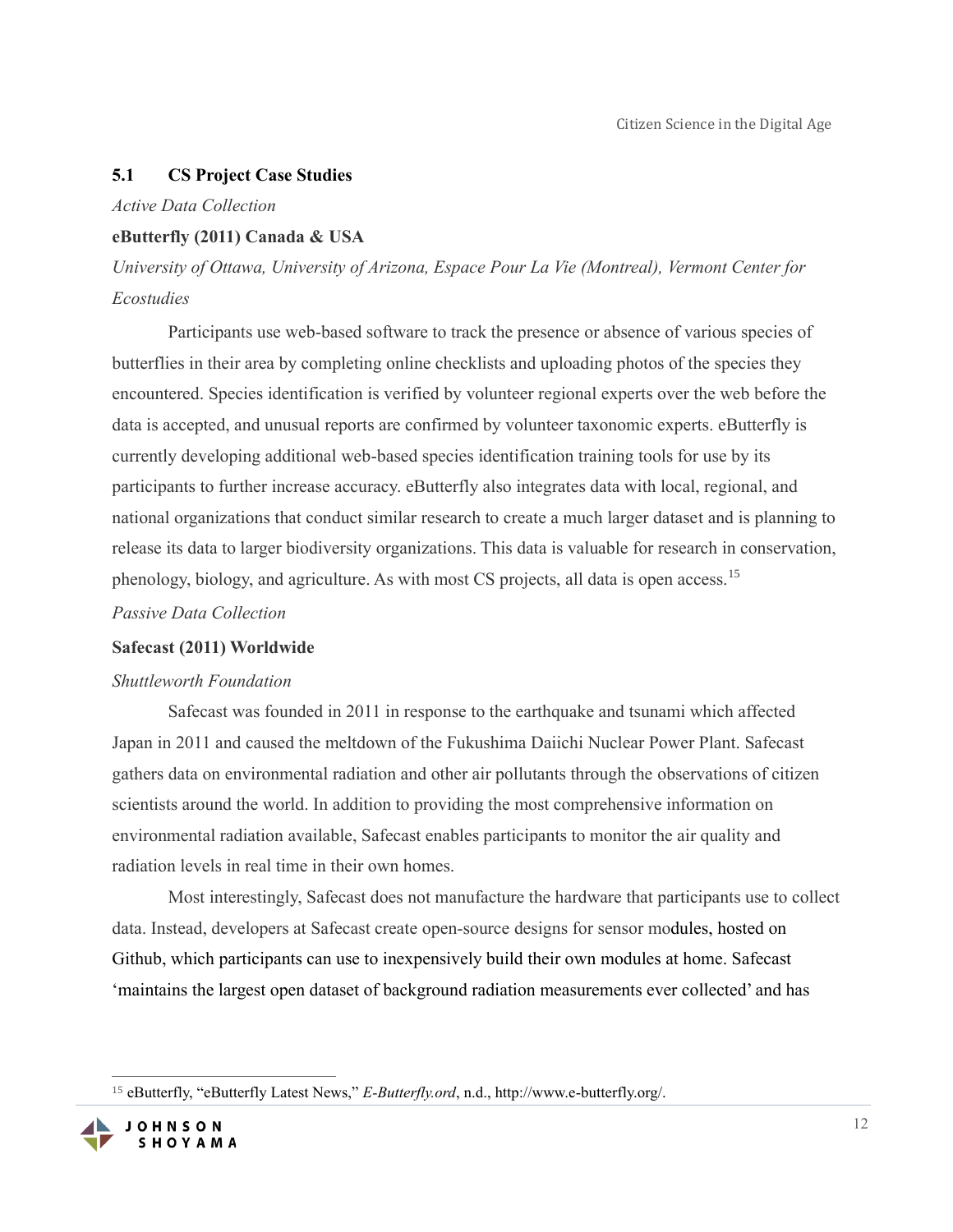# **5.1 CS Project Case Studies**

*Active Data Collection* 

# **eButterfly (2011) Canada & USA**

*University of Ottawa, University of Arizona, Espace Pour La Vie (Montreal), Vermont Center for Ecostudies*

Participants use web-based software to track the presence or absence of various species of butterflies in their area by completing online checklists and uploading photos of the species they encountered. Species identification is verified by volunteer regional experts over the web before the data is accepted, and unusual reports are confirmed by volunteer taxonomic experts. eButterfly is currently developing additional web-based species identification training tools for use by its participants to further increase accuracy. eButterfly also integrates data with local, regional, and national organizations that conduct similar research to create a much larger dataset and is planning to release its data to larger biodiversity organizations. This data is valuable for research in conservation, phenology, biology, and agriculture. As with most CS projects, all data is open access.<sup>15</sup>

*Passive Data Collection* 

# **Safecast (2011) Worldwide**

#### *Shuttleworth Foundation*

Safecast was founded in 2011 in response to the earthquake and tsunami which affected Japan in 2011 and caused the meltdown of the Fukushima Daiichi Nuclear Power Plant. Safecast gathers data on environmental radiation and other air pollutants through the observations of citizen scientists around the world. In addition to providing the most comprehensive information on environmental radiation available, Safecast enables participants to monitor the air quality and radiation levels in real time in their own homes.

Most interestingly, Safecast does not manufacture the hardware that participants use to collect data. Instead, developers at Safecast create open-source designs for sensor modules, hosted on Github, which participants can use to inexpensively build their own modules at home. Safecast 'maintains the largest open dataset of background radiation measurements ever collected' and has

<sup>15</sup> eButterfly, "eButterfly Latest News," *E-Butterfly.ord*, n.d., http://www.e-butterfly.org/.

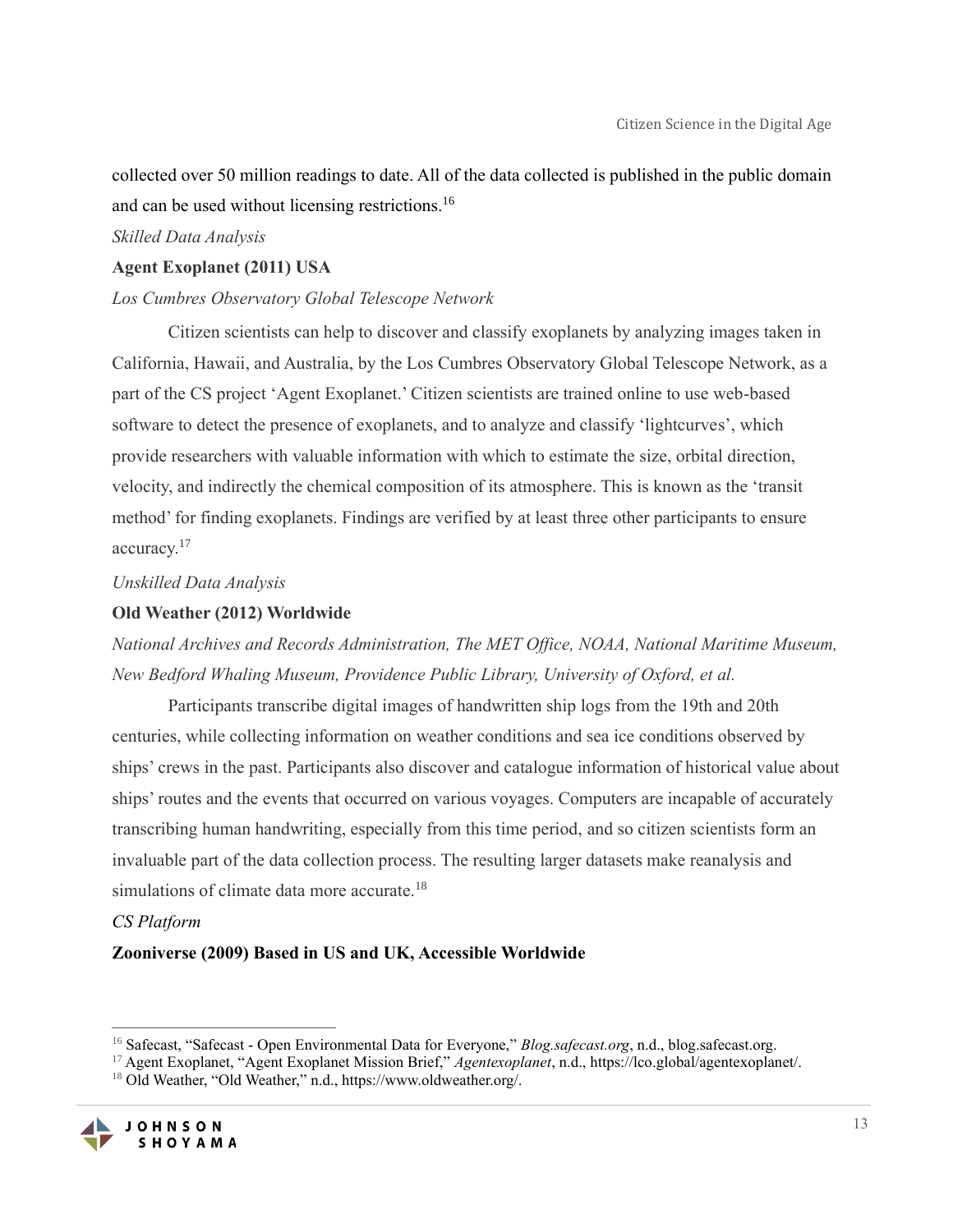collected over 50 million readings to date. All of the data collected is published in the public domain and can be used without licensing restrictions.<sup>16</sup>

#### *Skilled Data Analysis*

### **Agent Exoplanet (2011) USA**

# *Los Cumbres Observatory Global Telescope Network*

Citizen scientists can help to discover and classify exoplanets by analyzing images taken in California, Hawaii, and Australia, by the Los Cumbres Observatory Global Telescope Network, as a part of the CS project 'Agent Exoplanet.' Citizen scientists are trained online to use web-based software to detect the presence of exoplanets, and to analyze and classify 'lightcurves', which provide researchers with valuable information with which to estimate the size, orbital direction, velocity, and indirectly the chemical composition of its atmosphere. This is known as the 'transit method' for finding exoplanets. Findings are verified by at least three other participants to ensure accuracy.<sup>17</sup>

*Unskilled Data Analysis* 

# **Old Weather (2012) Worldwide**

*National Archives and Records Administration, The MET Office, NOAA, National Maritime Museum, New Bedford Whaling Museum, Providence Public Library, University of Oxford, et al.*

Participants transcribe digital images of handwritten ship logs from the 19th and 20th centuries, while collecting information on weather conditions and sea ice conditions observed by ships' crews in the past. Participants also discover and catalogue information of historical value about ships' routes and the events that occurred on various voyages. Computers are incapable of accurately transcribing human handwriting, especially from this time period, and so citizen scientists form an invaluable part of the data collection process. The resulting larger datasets make reanalysis and simulations of climate data more accurate.<sup>18</sup>

#### *CS Platform*

# **Zooniverse (2009) Based in US and UK, Accessible Worldwide**

<sup>16</sup> Safecast, "Safecast - Open Environmental Data for Everyone," *Blog.safecast.org*, n.d., blog.safecast.org.

<sup>17</sup> Agent Exoplanet, "Agent Exoplanet Mission Brief," *Agentexoplanet*, n.d., https://lco.global/agentexoplanet/.

<sup>18</sup> Old Weather, "Old Weather," n.d., https://www.oldweather.org/.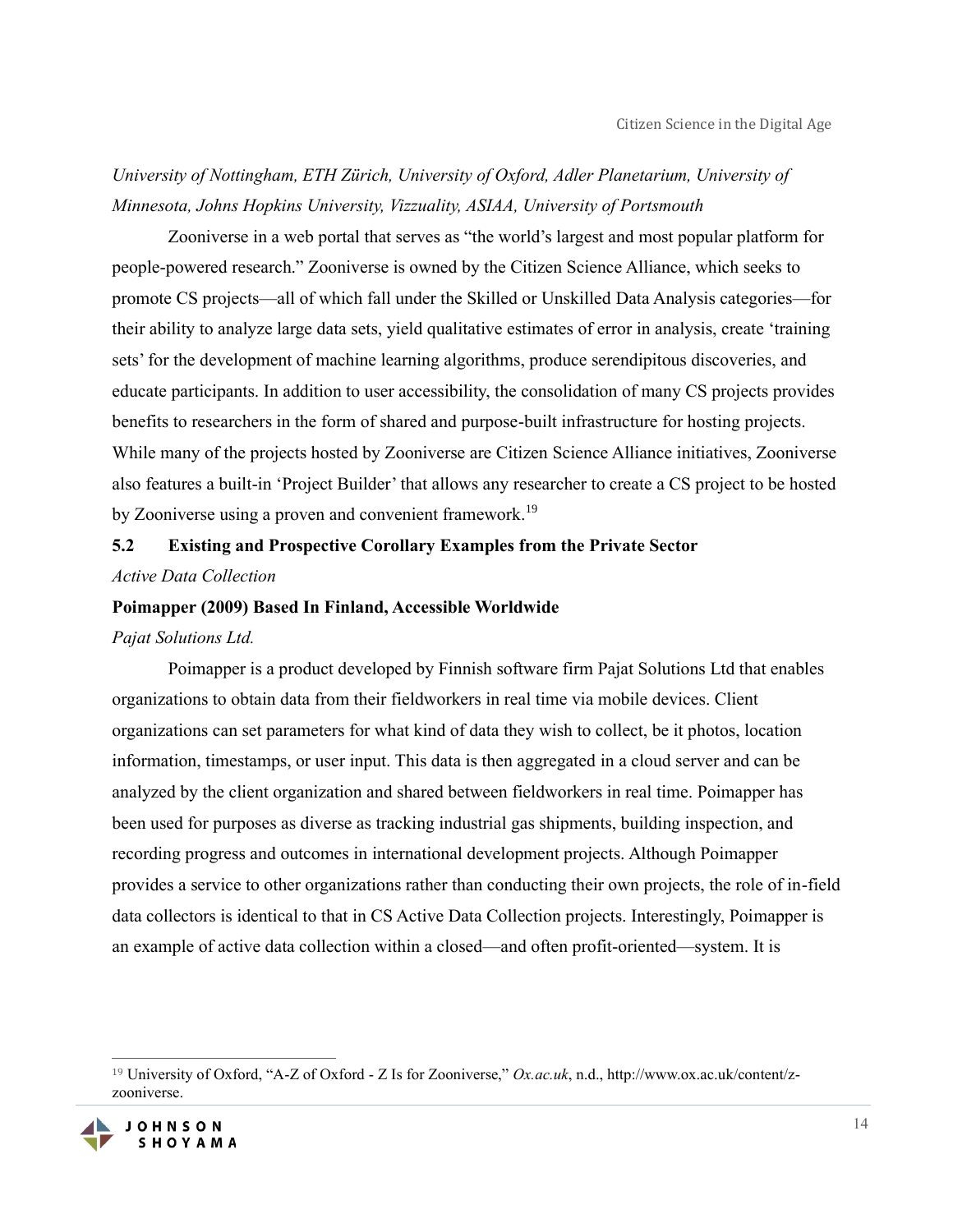# *University of Nottingham, ETH Zürich, University of Oxford, Adler Planetarium, University of Minnesota, Johns Hopkins University, Vizzuality, ASIAA, University of Portsmouth*

Zooniverse in a web portal that serves as "the world's largest and most popular platform for people-powered research." Zooniverse is owned by the Citizen Science Alliance, which seeks to promote CS projects—all of which fall under the Skilled or Unskilled Data Analysis categories—for their ability to analyze large data sets, yield qualitative estimates of error in analysis, create 'training sets' for the development of machine learning algorithms, produce serendipitous discoveries, and educate participants. In addition to user accessibility, the consolidation of many CS projects provides benefits to researchers in the form of shared and purpose-built infrastructure for hosting projects. While many of the projects hosted by Zooniverse are Citizen Science Alliance initiatives, Zooniverse also features a built-in 'Project Builder' that allows any researcher to create a CS project to be hosted by Zooniverse using a proven and convenient framework.<sup>19</sup>

# **5.2 Existing and Prospective Corollary Examples from the Private Sector**

# *Active Data Collection*

# **Poimapper (2009) Based In Finland, Accessible Worldwide**

# *Pajat Solutions Ltd.*

Poimapper is a product developed by Finnish software firm Pajat Solutions Ltd that enables organizations to obtain data from their fieldworkers in real time via mobile devices. Client organizations can set parameters for what kind of data they wish to collect, be it photos, location information, timestamps, or user input. This data is then aggregated in a cloud server and can be analyzed by the client organization and shared between fieldworkers in real time. Poimapper has been used for purposes as diverse as tracking industrial gas shipments, building inspection, and recording progress and outcomes in international development projects. Although Poimapper provides a service to other organizations rather than conducting their own projects, the role of in-field data collectors is identical to that in CS Active Data Collection projects. Interestingly, Poimapper is an example of active data collection within a closed—and often profit-oriented—system. It is

<sup>19</sup> University of Oxford, "A-Z of Oxford - Z Is for Zooniverse," *Ox.ac.uk*, n.d., http://www.ox.ac.uk/content/zzooniverse.

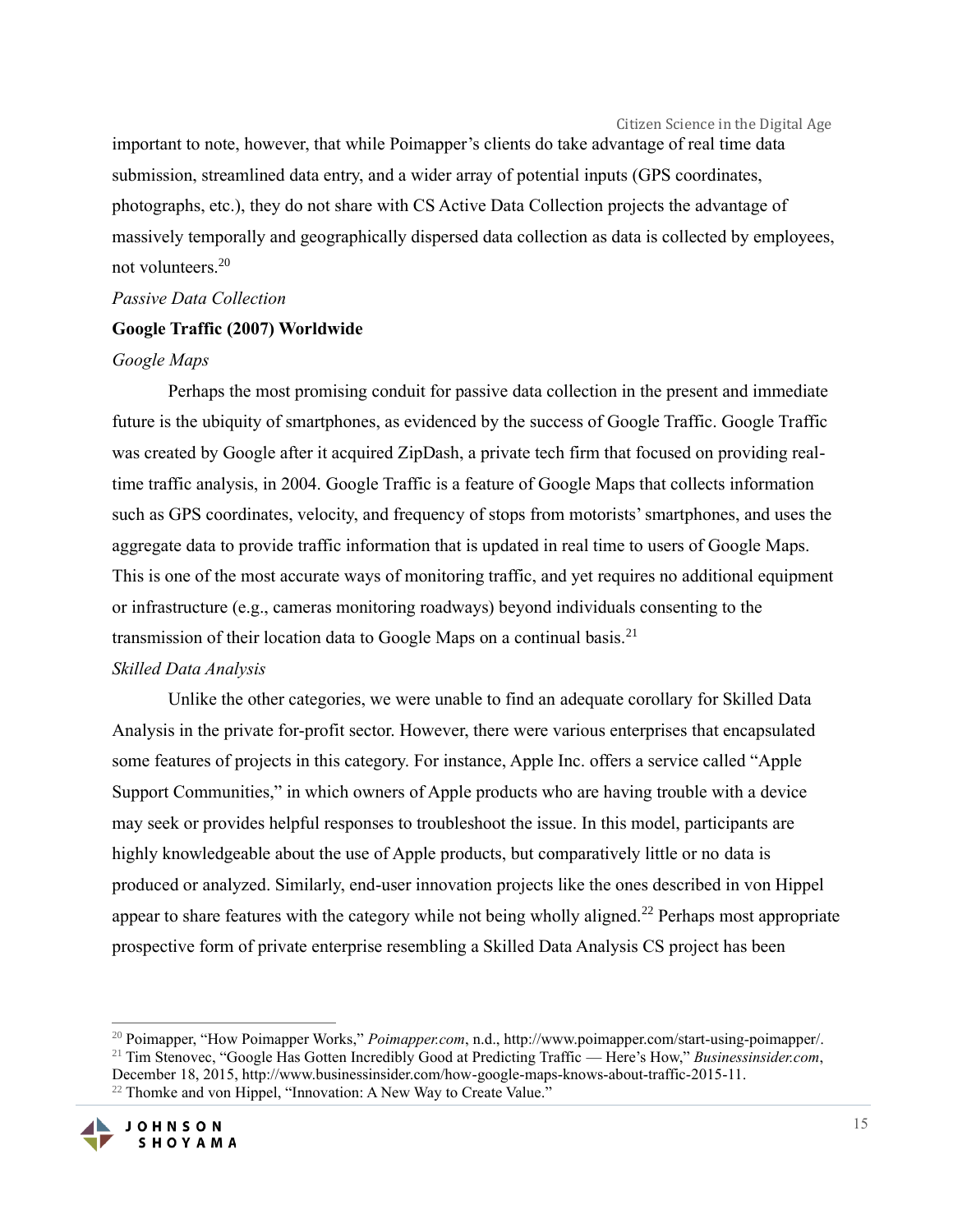important to note, however, that while Poimapper's clients do take advantage of real time data submission, streamlined data entry, and a wider array of potential inputs (GPS coordinates, photographs, etc.), they do not share with CS Active Data Collection projects the advantage of massively temporally and geographically dispersed data collection as data is collected by employees, not volunteers.<sup>20</sup>

#### *Passive Data Collection*

#### **Google Traffic (2007) Worldwide**

#### *Google Maps*

Perhaps the most promising conduit for passive data collection in the present and immediate future is the ubiquity of smartphones, as evidenced by the success of Google Traffic. Google Traffic was created by Google after it acquired ZipDash, a private tech firm that focused on providing realtime traffic analysis, in 2004. Google Traffic is a feature of Google Maps that collects information such as GPS coordinates, velocity, and frequency of stops from motorists' smartphones, and uses the aggregate data to provide traffic information that is updated in real time to users of Google Maps. This is one of the most accurate ways of monitoring traffic, and yet requires no additional equipment or infrastructure (e.g., cameras monitoring roadways) beyond individuals consenting to the transmission of their location data to Google Maps on a continual basis.<sup>21</sup>

# *Skilled Data Analysis*

Unlike the other categories, we were unable to find an adequate corollary for Skilled Data Analysis in the private for-profit sector. However, there were various enterprises that encapsulated some features of projects in this category. For instance, Apple Inc. offers a service called "Apple Support Communities," in which owners of Apple products who are having trouble with a device may seek or provides helpful responses to troubleshoot the issue. In this model, participants are highly knowledgeable about the use of Apple products, but comparatively little or no data is produced or analyzed. Similarly, end-user innovation projects like the ones described in von Hippel appear to share features with the category while not being wholly aligned.<sup>22</sup> Perhaps most appropriate prospective form of private enterprise resembling a Skilled Data Analysis CS project has been

<sup>21</sup> Tim Stenovec, "Google Has Gotten Incredibly Good at Predicting Traffic — Here's How," *Businessinsider.com*,

<sup>&</sup>lt;sup>22</sup> Thomke and von Hippel, "Innovation: A New Way to Create Value."



<sup>20</sup> Poimapper, "How Poimapper Works," *Poimapper.com*, n.d., http://www.poimapper.com/start-using-poimapper/.

December 18, 2015, http://www.businessinsider.com/how-google-maps-knows-about-traffic-2015-11.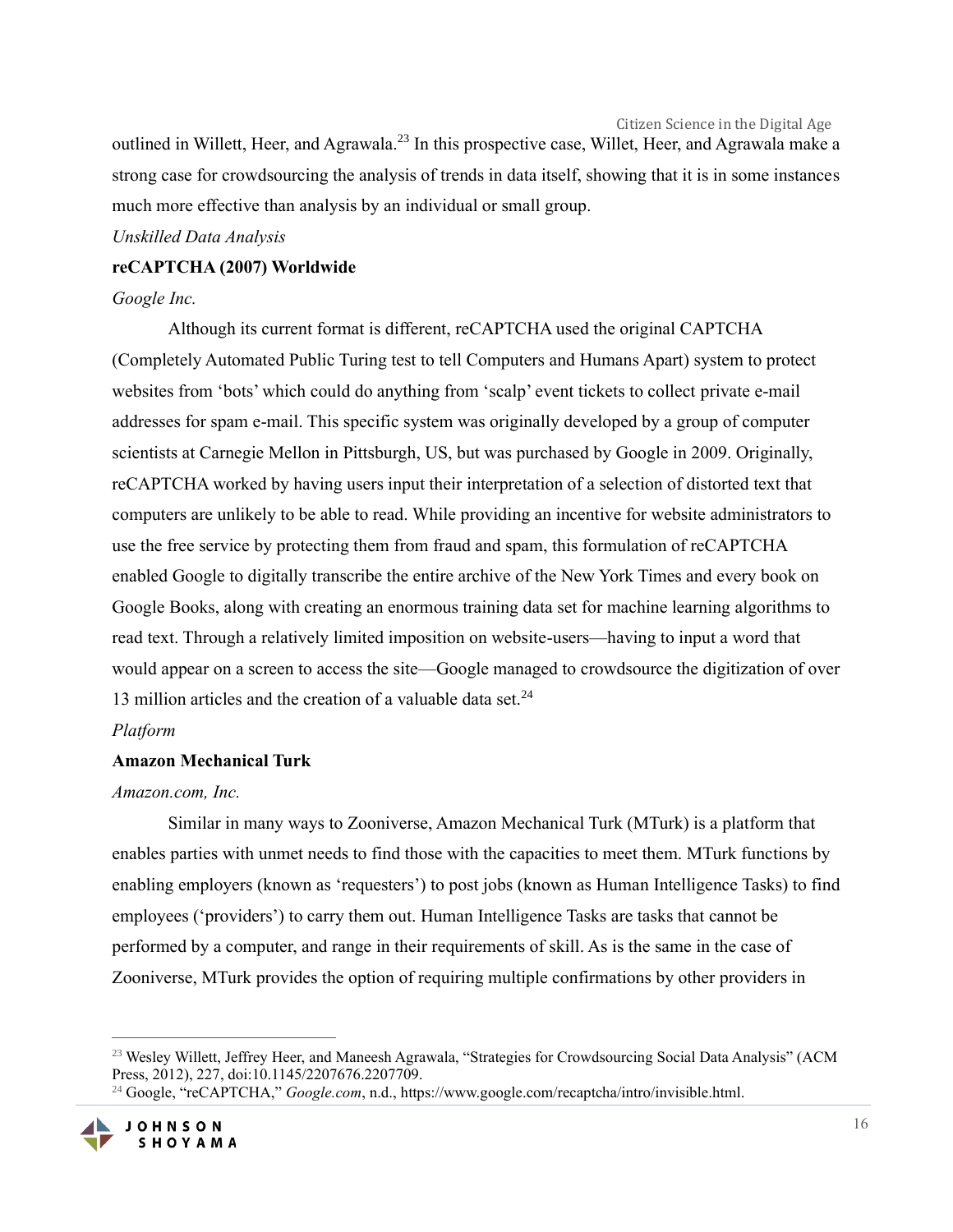outlined in Willett, Heer, and Agrawala.<sup>23</sup> In this prospective case, Willet, Heer, and Agrawala make a strong case for crowdsourcing the analysis of trends in data itself, showing that it is in some instances much more effective than analysis by an individual or small group.

#### *Unskilled Data Analysis*

# **reCAPTCHA (2007) Worldwide**

#### *Google Inc.*

Although its current format is different, reCAPTCHA used the original CAPTCHA (Completely Automated Public Turing test to tell Computers and Humans Apart) system to protect websites from 'bots' which could do anything from 'scalp' event tickets to collect private e-mail addresses for spam e-mail. This specific system was originally developed by a group of computer scientists at Carnegie Mellon in Pittsburgh, US, but was purchased by Google in 2009. Originally, reCAPTCHA worked by having users input their interpretation of a selection of distorted text that computers are unlikely to be able to read. While providing an incentive for website administrators to use the free service by protecting them from fraud and spam, this formulation of reCAPTCHA enabled Google to digitally transcribe the entire archive of the New York Times and every book on Google Books, along with creating an enormous training data set for machine learning algorithms to read text. Through a relatively limited imposition on website-users—having to input a word that would appear on a screen to access the site—Google managed to crowdsource the digitization of over 13 million articles and the creation of a valuable data set. $24$ 

# *Platform*

# **Amazon Mechanical Turk**

# *Amazon.com, Inc.*

Similar in many ways to Zooniverse, Amazon Mechanical Turk (MTurk) is a platform that enables parties with unmet needs to find those with the capacities to meet them. MTurk functions by enabling employers (known as 'requesters') to post jobs (known as Human Intelligence Tasks) to find employees ('providers') to carry them out. Human Intelligence Tasks are tasks that cannot be performed by a computer, and range in their requirements of skill. As is the same in the case of Zooniverse, MTurk provides the option of requiring multiple confirmations by other providers in

<sup>24</sup> Google, "reCAPTCHA," *Google.com*, n.d., https://www.google.com/recaptcha/intro/invisible.html.



<sup>&</sup>lt;sup>23</sup> Wesley Willett, Jeffrey Heer, and Maneesh Agrawala, "Strategies for Crowdsourcing Social Data Analysis" (ACM Press, 2012), 227, doi:10.1145/2207676.2207709.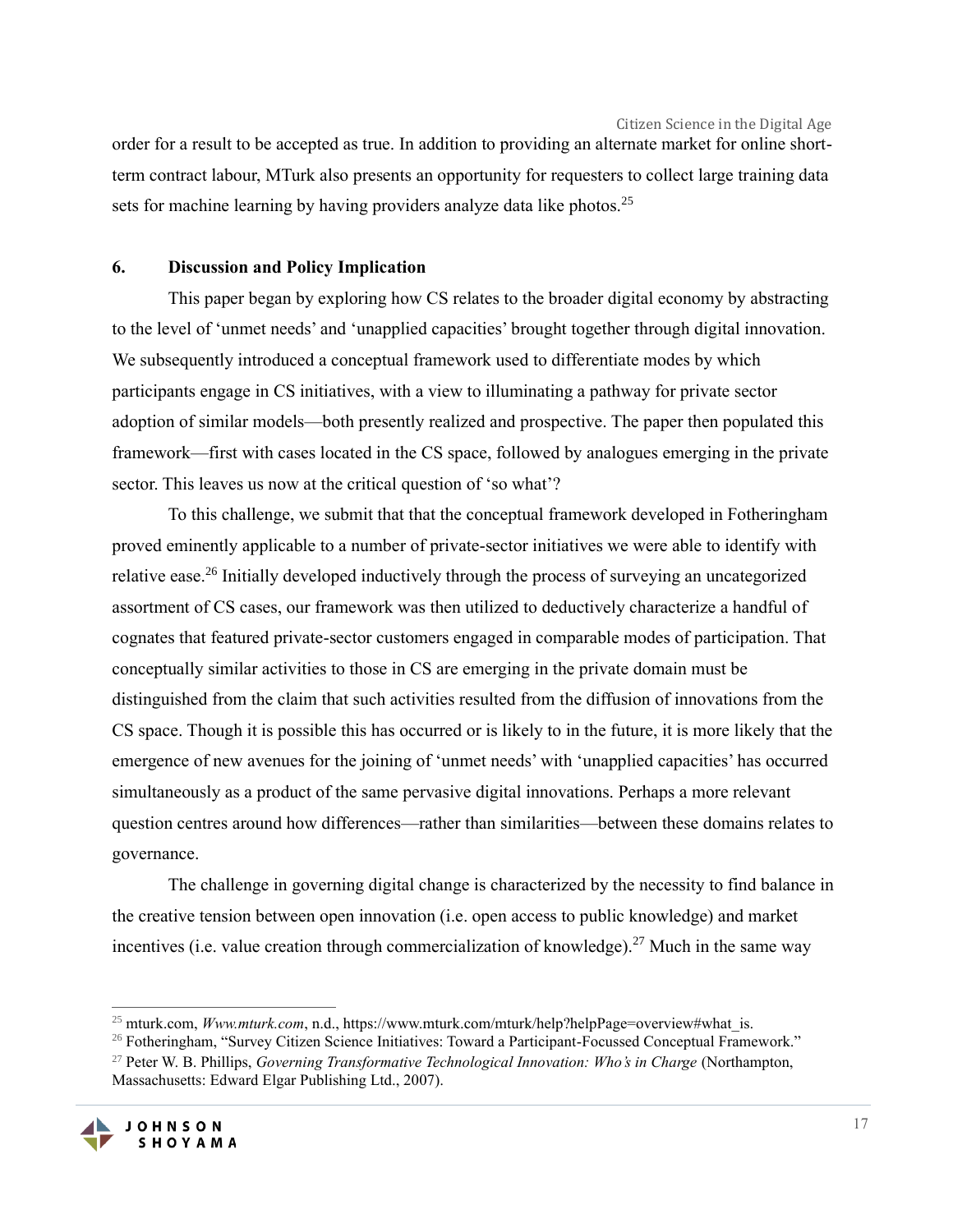order for a result to be accepted as true. In addition to providing an alternate market for online shortterm contract labour, MTurk also presents an opportunity for requesters to collect large training data sets for machine learning by having providers analyze data like photos.<sup>25</sup>

# **6. Discussion and Policy Implication**

This paper began by exploring how CS relates to the broader digital economy by abstracting to the level of 'unmet needs' and 'unapplied capacities' brought together through digital innovation. We subsequently introduced a conceptual framework used to differentiate modes by which participants engage in CS initiatives, with a view to illuminating a pathway for private sector adoption of similar models—both presently realized and prospective. The paper then populated this framework—first with cases located in the CS space, followed by analogues emerging in the private sector. This leaves us now at the critical question of 'so what'?

To this challenge, we submit that that the conceptual framework developed in Fotheringham proved eminently applicable to a number of private-sector initiatives we were able to identify with relative ease.<sup>26</sup> Initially developed inductively through the process of surveying an uncategorized assortment of CS cases, our framework was then utilized to deductively characterize a handful of cognates that featured private-sector customers engaged in comparable modes of participation. That conceptually similar activities to those in CS are emerging in the private domain must be distinguished from the claim that such activities resulted from the diffusion of innovations from the CS space. Though it is possible this has occurred or is likely to in the future, it is more likely that the emergence of new avenues for the joining of 'unmet needs' with 'unapplied capacities' has occurred simultaneously as a product of the same pervasive digital innovations. Perhaps a more relevant question centres around how differences—rather than similarities—between these domains relates to governance.

The challenge in governing digital change is characterized by the necessity to find balance in the creative tension between open innovation (i.e. open access to public knowledge) and market incentives (i.e. value creation through commercialization of knowledge).<sup>27</sup> Much in the same way

<sup>27</sup> Peter W. B. Phillips, *Governing Transformative Technological Innovation: Who's in Charge* (Northampton, Massachusetts: Edward Elgar Publishing Ltd., 2007).



<sup>&</sup>lt;sup>25</sup> mturk.com, *Www.mturk.com*, n.d., https://www.mturk.com/mturk/help?helpPage=overview#what is.

<sup>&</sup>lt;sup>26</sup> Fotheringham, "Survey Citizen Science Initiatives: Toward a Participant-Focussed Conceptual Framework."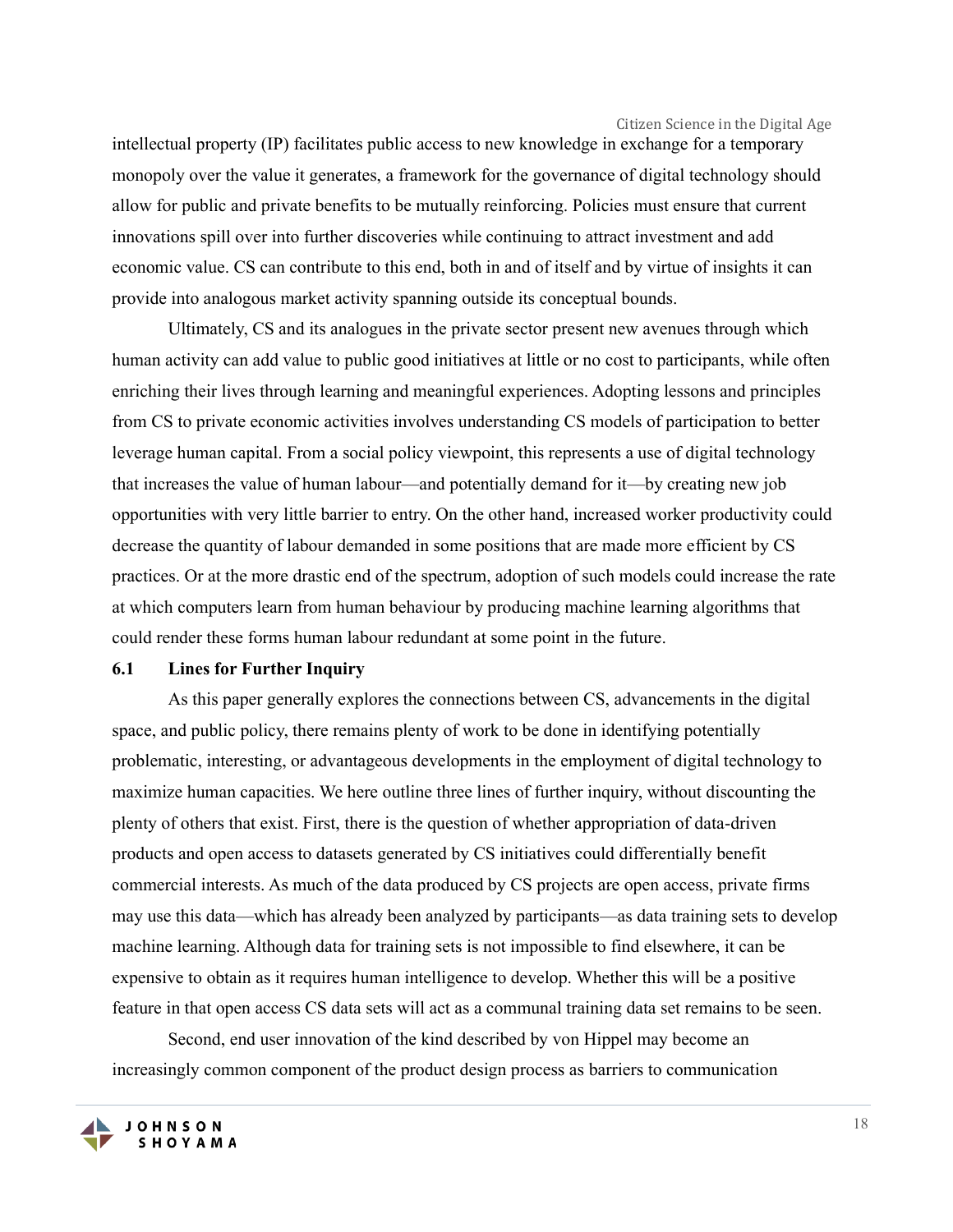intellectual property (IP) facilitates public access to new knowledge in exchange for a temporary monopoly over the value it generates, a framework for the governance of digital technology should allow for public and private benefits to be mutually reinforcing. Policies must ensure that current innovations spill over into further discoveries while continuing to attract investment and add economic value. CS can contribute to this end, both in and of itself and by virtue of insights it can provide into analogous market activity spanning outside its conceptual bounds.

Ultimately, CS and its analogues in the private sector present new avenues through which human activity can add value to public good initiatives at little or no cost to participants, while often enriching their lives through learning and meaningful experiences. Adopting lessons and principles from CS to private economic activities involves understanding CS models of participation to better leverage human capital. From a social policy viewpoint, this represents a use of digital technology that increases the value of human labour—and potentially demand for it—by creating new job opportunities with very little barrier to entry. On the other hand, increased worker productivity could decrease the quantity of labour demanded in some positions that are made more efficient by CS practices. Or at the more drastic end of the spectrum, adoption of such models could increase the rate at which computers learn from human behaviour by producing machine learning algorithms that could render these forms human labour redundant at some point in the future.

# **6.1 Lines for Further Inquiry**

As this paper generally explores the connections between CS, advancements in the digital space, and public policy, there remains plenty of work to be done in identifying potentially problematic, interesting, or advantageous developments in the employment of digital technology to maximize human capacities. We here outline three lines of further inquiry, without discounting the plenty of others that exist. First, there is the question of whether appropriation of data-driven products and open access to datasets generated by CS initiatives could differentially benefit commercial interests. As much of the data produced by CS projects are open access, private firms may use this data—which has already been analyzed by participants—as data training sets to develop machine learning. Although data for training sets is not impossible to find elsewhere, it can be expensive to obtain as it requires human intelligence to develop. Whether this will be a positive feature in that open access CS data sets will act as a communal training data set remains to be seen.

Second, end user innovation of the kind described by von Hippel may become an increasingly common component of the product design process as barriers to communication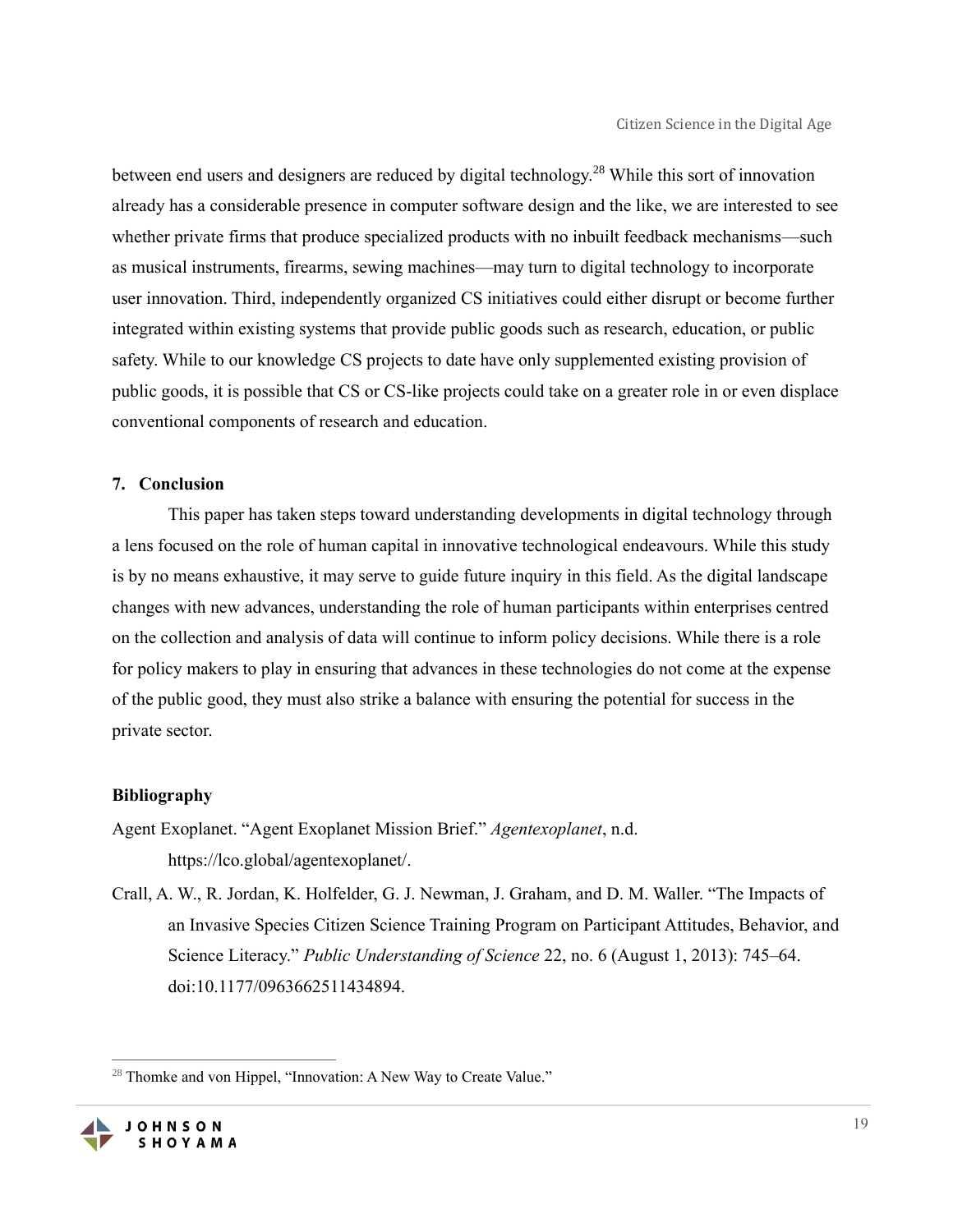between end users and designers are reduced by digital technology.<sup>28</sup> While this sort of innovation already has a considerable presence in computer software design and the like, we are interested to see whether private firms that produce specialized products with no inbuilt feedback mechanisms—such as musical instruments, firearms, sewing machines—may turn to digital technology to incorporate user innovation. Third, independently organized CS initiatives could either disrupt or become further integrated within existing systems that provide public goods such as research, education, or public safety. While to our knowledge CS projects to date have only supplemented existing provision of public goods, it is possible that CS or CS-like projects could take on a greater role in or even displace conventional components of research and education.

# **7. Conclusion**

This paper has taken steps toward understanding developments in digital technology through a lens focused on the role of human capital in innovative technological endeavours. While this study is by no means exhaustive, it may serve to guide future inquiry in this field. As the digital landscape changes with new advances, understanding the role of human participants within enterprises centred on the collection and analysis of data will continue to inform policy decisions. While there is a role for policy makers to play in ensuring that advances in these technologies do not come at the expense of the public good, they must also strike a balance with ensuring the potential for success in the private sector.

# **Bibliography**

Agent Exoplanet. "Agent Exoplanet Mission Brief." *Agentexoplanet*, n.d. https://lco.global/agentexoplanet/.

Crall, A. W., R. Jordan, K. Holfelder, G. J. Newman, J. Graham, and D. M. Waller. "The Impacts of an Invasive Species Citizen Science Training Program on Participant Attitudes, Behavior, and Science Literacy." *Public Understanding of Science* 22, no. 6 (August 1, 2013): 745–64. doi:10.1177/0963662511434894.

<sup>&</sup>lt;sup>28</sup> Thomke and von Hippel, "Innovation: A New Way to Create Value."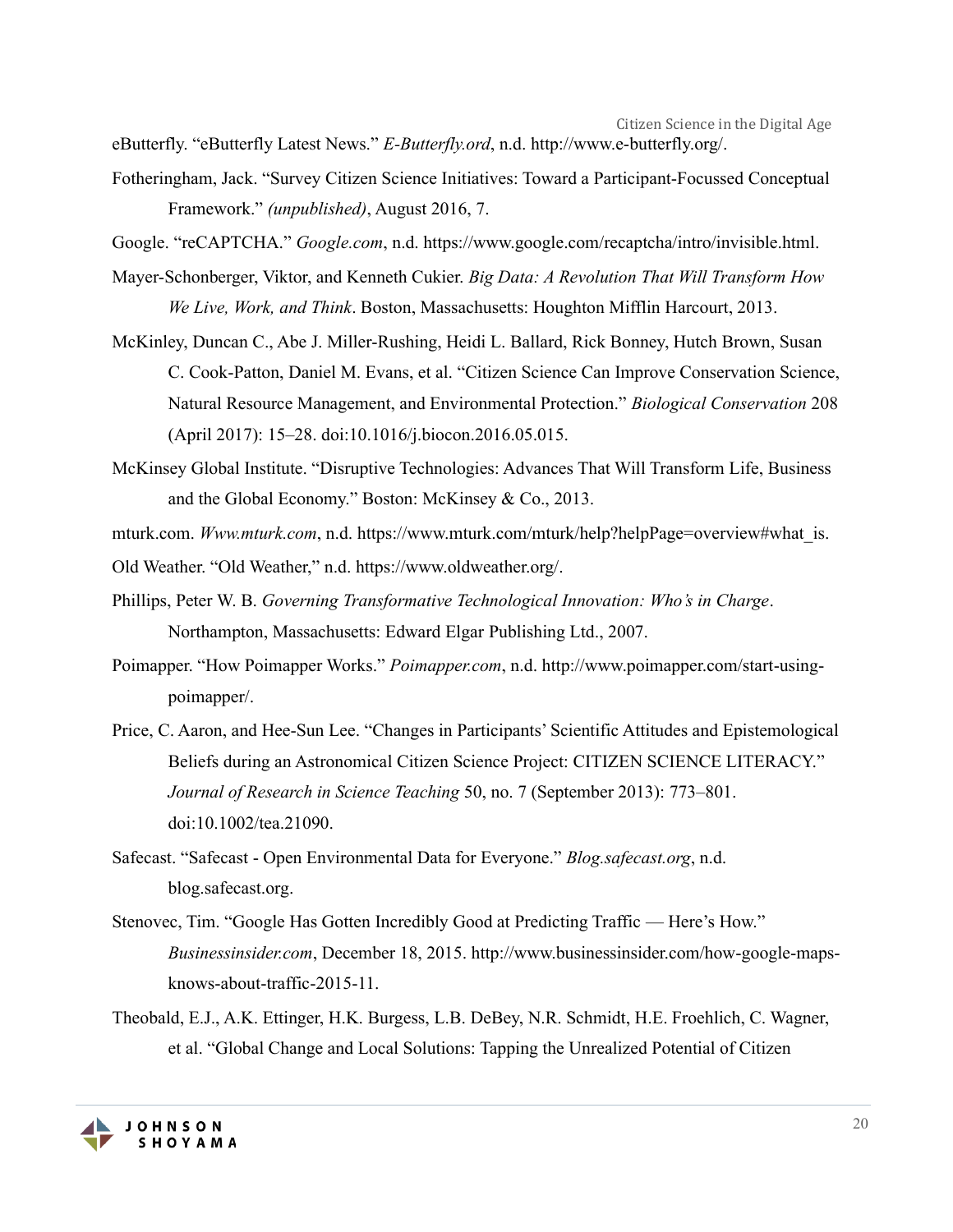eButterfly. "eButterfly Latest News." *E-Butterfly.ord*, n.d. http://www.e-butterfly.org/.

Fotheringham, Jack. "Survey Citizen Science Initiatives: Toward a Participant-Focussed Conceptual Framework." *(unpublished)*, August 2016, 7.

Google. "reCAPTCHA." *Google.com*, n.d. https://www.google.com/recaptcha/intro/invisible.html.

- Mayer-Schonberger, Viktor, and Kenneth Cukier. *Big Data: A Revolution That Will Transform How We Live, Work, and Think*. Boston, Massachusetts: Houghton Mifflin Harcourt, 2013.
- McKinley, Duncan C., Abe J. Miller-Rushing, Heidi L. Ballard, Rick Bonney, Hutch Brown, Susan C. Cook-Patton, Daniel M. Evans, et al. "Citizen Science Can Improve Conservation Science, Natural Resource Management, and Environmental Protection." *Biological Conservation* 208 (April 2017): 15–28. doi:10.1016/j.biocon.2016.05.015.
- McKinsey Global Institute. "Disruptive Technologies: Advances That Will Transform Life, Business and the Global Economy." Boston: McKinsey & Co., 2013.

mturk.com. *Www.mturk.com*, n.d. https://www.mturk.com/mturk/help?helpPage=overview#what\_is.

Old Weather. "Old Weather," n.d. https://www.oldweather.org/.

- Phillips, Peter W. B. *Governing Transformative Technological Innovation: Who's in Charge*. Northampton, Massachusetts: Edward Elgar Publishing Ltd., 2007.
- Poimapper. "How Poimapper Works." *Poimapper.com*, n.d. http://www.poimapper.com/start-usingpoimapper/.
- Price, C. Aaron, and Hee-Sun Lee. "Changes in Participants' Scientific Attitudes and Epistemological Beliefs during an Astronomical Citizen Science Project: CITIZEN SCIENCE LITERACY." *Journal of Research in Science Teaching* 50, no. 7 (September 2013): 773–801. doi:10.1002/tea.21090.
- Safecast. "Safecast Open Environmental Data for Everyone." *Blog.safecast.org*, n.d. blog.safecast.org.
- Stenovec, Tim. "Google Has Gotten Incredibly Good at Predicting Traffic Here's How." *Businessinsider.com*, December 18, 2015. http://www.businessinsider.com/how-google-mapsknows-about-traffic-2015-11.
- Theobald, E.J., A.K. Ettinger, H.K. Burgess, L.B. DeBey, N.R. Schmidt, H.E. Froehlich, C. Wagner, et al. "Global Change and Local Solutions: Tapping the Unrealized Potential of Citizen